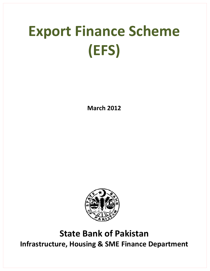# **Export Finance Scheme (EFS)**

**March 2012**



# **State Bank of Pakistan Infrastructure, Housing & SME Finance Department**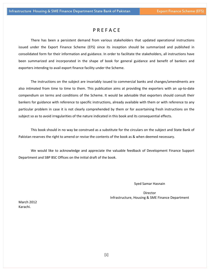# P R E F A C E

There has been a persistent demand from various stakeholders that updated operational instructions issued under the Export Finance Scheme (EFS) since its inception should be summarized and published in consolidated form for their information and guidance. In order to facilitate the stakeholders, all instructions have been summarized and incorporated in the shape of book for general guidance and benefit of bankers and exporters intending to avail export finance facility under the Scheme.

The instructions on the subject are invariably issued to commercial banks and changes/amendments are also intimated from time to time to them. This publication aims at providing the exporters with an up-to-date compendium on terms and conditions of the Scheme. It would be advisable that exporters should consult their bankers for guidance with reference to specific instructions, already available with them or with reference to any particular problem in case it is not clearly comprehended by them or for ascertaining fresh instructions on the subject so as to avoid irregularities of the nature indicated in this book and its consequential effects.

This book should in no way be construed as a substitute for the circulars on the subject and State Bank of Pakistan reserves the right to amend or revise the contents of the book as & when deemed necessary.

We would like to acknowledge and appreciate the valuable feedback of Development Finance Support Department and SBP BSC Offices on the initial draft of the book.

Syed Samar Hasnain

Director Infrastructure, Housing & SME Finance Department

March 2012 Karachi.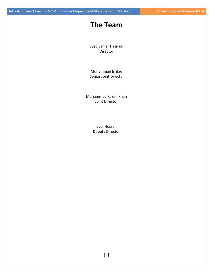# **The Team**

Syed Samar Hasnain Director

Muhammad Ishfaq Senior Joint Director

Muhammad Razim Khan Joint Director

> Iqbal Hussain Deputy Director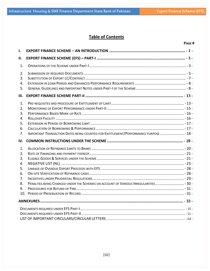# **Table of Contents**

# **PAGE #**

| I.                                                 |                                                                                       |  |
|----------------------------------------------------|---------------------------------------------------------------------------------------|--|
| ΙΙ.                                                |                                                                                       |  |
| 1.                                                 |                                                                                       |  |
| 2.<br>3.<br>4.<br>5.                               |                                                                                       |  |
| Ш.                                                 |                                                                                       |  |
| 1.<br>2.<br>3.<br>4.<br>5.<br>6.<br>7.             | IMPORTANT TRANSACTION DATES BEING COUNTED FOR ENTITLEMENT/PERFORMANCE PURPOSE  - 18 - |  |
|                                                    |                                                                                       |  |
| IV.                                                |                                                                                       |  |
| 1.<br>2.<br>3.<br>4.<br>5.<br>6.<br>7.<br>8.<br>9. | PENALTIES BEING CHARGED UNDER THE SCHEMES ON ACCOUNT OF VARIOUS IRREGULARITIES - 30-  |  |
|                                                    |                                                                                       |  |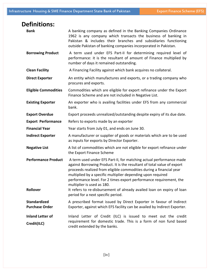| <b>Definitions:</b>                           |                                                                                                                                                                                                                                                                                                                                                                                                                                                                    |
|-----------------------------------------------|--------------------------------------------------------------------------------------------------------------------------------------------------------------------------------------------------------------------------------------------------------------------------------------------------------------------------------------------------------------------------------------------------------------------------------------------------------------------|
| <b>Bank</b>                                   | A banking company as defined in the Banking Companies Ordinance<br>1962 is any company which transacts the business of banking in<br>Pakistan & includes their branches and subsidiaries functioning<br>outside Pakistan of banking companies incorporated in Pakistan.                                                                                                                                                                                            |
| <b>Borrowing Product</b>                      | A term used under EFS Part-II for determining required level of<br>performance: it is the resultant of amount of Finance multiplied by<br>number of days it remained outstanding.                                                                                                                                                                                                                                                                                  |
| <b>Clean Facility</b>                         | A Financing Facility against which bank acquires no collateral.                                                                                                                                                                                                                                                                                                                                                                                                    |
| <b>Direct Exporter</b>                        | An entity which manufactures and exports, or a trading company who<br>procures and exports.                                                                                                                                                                                                                                                                                                                                                                        |
| <b>Eligible Commodities</b>                   | Commodities which are eligible for export refinance under the Export<br>Finance Scheme and are not included in Negative List.                                                                                                                                                                                                                                                                                                                                      |
| <b>Existing Exporter</b>                      | An exporter who is availing facilities under EFS from any commercial<br>bank.                                                                                                                                                                                                                                                                                                                                                                                      |
| <b>Export Overdue</b>                         | Export proceeds unrealized/outstanding despite expiry of its due date.                                                                                                                                                                                                                                                                                                                                                                                             |
| <b>Export Performance</b>                     | Refers to exports made by an exporter                                                                                                                                                                                                                                                                                                                                                                                                                              |
| <b>Financial Year</b>                         | Year starts from July 01, and ends on June 30.                                                                                                                                                                                                                                                                                                                                                                                                                     |
| <b>Indirect Exporter</b>                      | A manufacturer or supplier of goods or materials which are to be used<br>as inputs for exports by Director Exporter.                                                                                                                                                                                                                                                                                                                                               |
| <b>Negative List</b>                          | A list of commodities which are not eligible for export refinance under<br>the Export Finance Scheme                                                                                                                                                                                                                                                                                                                                                               |
| <b>Performance Product</b><br><b>Rollover</b> | A term used under EFS Part-II, for matching actual performance made<br>against Borrowing Product. It is the resultant of total value of export<br>proceeds realized from eligible commodities during a financial year<br>multiplied by a specific multiplier depending upon required<br>performance level. For 2 times export performance requirement, the<br>multiplier is used as 180.<br>It refers to re-disbursement of already availed loan on expiry of loan |
|                                               | period for a next specific period.                                                                                                                                                                                                                                                                                                                                                                                                                                 |
| <b>Standardized</b><br><b>Purchase Order</b>  | A prescribed format issued by Direct Exporter in favour of Indirect<br>Exporter, against which EFS facility can be availed by Indirect Exporter.                                                                                                                                                                                                                                                                                                                   |
| <b>Inland Letter of</b><br>Credit(ILC)        | Inland Letter of Credit (ILC) is issued to meet out the credit<br>requirement for domestic trade. This is a form of non fund based<br>credit extended by the banks.                                                                                                                                                                                                                                                                                                |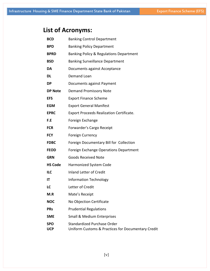# **List of Acronyms:**

| <b>BCD</b>               | <b>Banking Control Department</b>                                                        |
|--------------------------|------------------------------------------------------------------------------------------|
| <b>BPD</b>               | <b>Banking Policy Department</b>                                                         |
| <b>BPRD</b>              | Banking Policy & Regulations Department                                                  |
| <b>BSD</b>               | <b>Banking Surveillance Department</b>                                                   |
| DA                       | Documents against Acceptance                                                             |
| DL                       | Demand Loan                                                                              |
| <b>DP</b>                | Documents against Payment                                                                |
| <b>DP Note</b>           | <b>Demand Promissory Note</b>                                                            |
| <b>EFS</b>               | <b>Export Finance Scheme</b>                                                             |
| <b>EGM</b>               | <b>Export General Manifest</b>                                                           |
| <b>EPRC</b>              | <b>Export Proceeds Realization Certificate.</b>                                          |
| F.E                      | Foreign Exchange                                                                         |
| <b>FCR</b>               | Forwarder's Cargo Receipt                                                                |
| <b>FCY</b>               | <b>Foreign Currency</b>                                                                  |
| <b>FDBC</b>              | Foreign Documentary Bill for Collection                                                  |
| <b>FEOD</b>              | Foreign Exchange Operations Department                                                   |
| <b>GRN</b>               | <b>Goods Received Note</b>                                                               |
| <b>HS Code</b>           | Harmonized System Code                                                                   |
| <b>ILC</b>               | <b>Inland Letter of Credit</b>                                                           |
| IT                       | <b>Information Technology</b>                                                            |
| LC                       | Letter of Credit                                                                         |
| M.R                      | Mate's Receipt                                                                           |
| <b>NOC</b>               | No Objection Certificate                                                                 |
| <b>PRs</b>               | <b>Prudential Regulations</b>                                                            |
| <b>SME</b>               | <b>Small &amp; Medium Enterprises</b>                                                    |
| <b>SPO</b><br><b>UCP</b> | <b>Standardized Purchase Order</b><br>Uniform Customs & Practices for Documentary Credit |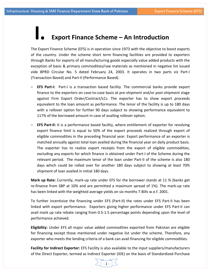# **I. Export Finance Scheme – An Introduction**

The Export Finance Scheme (EFS) is in operation since 1973 with the objective to boost exports of the country. Under the scheme short term financing facilities are provided to exporters through Banks for exports of all manufacturing goods especially value added products with the exception of basic & primary commodities/raw materials as mentioned in negative list issued vide BPRD Circular No. 5 dated February 24, 2003. It operates in two parts viz Part‐I (Transaction Based) and Part‐II (Performance Based).

- **EFS Part‐I:**  Part‐I is a transaction based facility. The commercial banks provide export finance to the exporters on case‐to‐case basis at pre‐shipment and/or post‐shipment stage against Firm Export Order/Contract/LCs. The exporter has to show export proceeds equivalent to the loan amount as performance. The tenor of the facility is up to 180 days with a rollover option for further 90 days subject to showing performance equivalent to 117% of the borrowed amount in case of availing rollover option.
- **EFS Part‐II:** It is a performance based facility, where entitlement of exporter for revolving export finance limit is equal to 50% of the export proceeds realized through export of eligible commodities in the preceding financial year. Export performance of an exporter is matched annually against total loan availed during the financial year on daily product basis. The exporter has to realize export receipts from the export of eligible commodities, excluding any exports for which finance is obtained under Part‐I of the Scheme during the relevant period. The maximum tenor of the loan under Part‐II of the scheme is also 180 days which could be rolled over for another 180 days subject to showing at least 70% shipment of loan availed in initial 180 days.

**Mark up Rate:** Currently, mark‐up rate under EFS for the borrower stands at 11 % (banks get re-finance from SBP at 10% and are permitted a maximum spread of 1%). The mark-up rate has been linked with the weighted average yields on six months T‐Bills w.e.f. 2001.

To further incentivize the financing under EFS (Part‐II) the rates under EFS Part‐II has been linked with export performance. Exporters giving higher performance under EFS Part-II can avail mark up rate rebate ranging from 0.5‐1.5 percentage points depending upon the level of performance achieved.

**Eligibility:** Under EFS all major value added commodities exported from Pakistan are eligible for financing except those mentioned under negative list under the scheme. Therefore, any exporter who meets the lending criteria of a bank can avail financing for eligible commodities.

**Facility for Indirect Exporter:** EFS Facility is also available to the input suppliers/manufacturers of the Direct Exporter, termed as Indirect Exporter (IDE) on the basis of Standardized Purchase

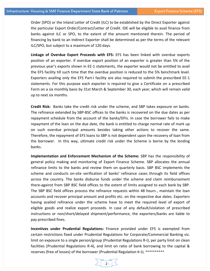Order (SPO) or the Inland Letter of Credit (ILC) to be established by the Direct Exporter against the particular Export Order/Contract/Letter of Credit. IDE will be eligible to avail finance from banks against ILC or SPO, to the extent of the amount mentioned therein. The period of financing by bank to an Indirect Exporter shall be determined as per the terms of the relevant ILC/SPO, but subject to a maximum of 120 days.

**Linkage of Overdue Export Proceeds with EFS:** EFS has been linked with overdue exports position of an exporter. if overdue export position of an exporter is greater than 5% of the previous year's exports shown in EE‐1 statements, the exporter would not be entitled to avail the EFS facility till such time that the overdue position is reduced to the 5% benchmark level. Exporters availing only the EFS Part-I facility are also required to submit the prescribed EE-1 statements. For this purpose each exporter is required to give a Certificate on a prescribed Form on a six monthly basis by 31st March & September 30, each year; which will remain valid up to next six months.

**Credit Risk:** Banks take the credit risk under the scheme, and SBP takes exposure on banks. The refinance extended by SBP‐BSC offices to the banks is recovered on the due dates as per repayment schedule from the account of the banks/DFIs. In case the borrower fails to make repayment of the loan on the due date, the bank is entitled to charge normal rate of mark up on such overdue principal amounts besides taking other actions to recover the same. Therefore, the repayment of EFS loans to SBP is not dependent upon the recovery of loan from the borrower. In this way, ultimate credit risk under the Scheme is borne by the lending banks.

**Implementation and Enforcement Mechanism of the Scheme:** SBP has the responsibility of general policy making and monitoring of Export Finance Scheme. SBP allocates the annual refinance limits to the banks and review them on quarterly basis. SBP BSC implements the scheme and conducts on‐site verification of banks' refinance cases through its field offices across the country. The banks disburse funds under the scheme and claim reimbursement there‐against from SBP BSC field offices to the extent of limits assigned to each bank by SBP. The SBP BSC field offices process the refinance requests within 48 hours , maintain the loan accounts and recover principal amount and profits etc. on the respective due dates. Exporters having availed refinance under the scheme have to meet the required level of export of eligible goods and realize export proceeds. In case of any default/violation of prescribed instructions or non/short/delayed shipment/performance, the exporters/banks are liable to pay prescribed fines.

**Incentives under Prudential Regulations:** Finance provided under EFS is exempted from certain restrictions fixed under Prudential Regulations for Corporate/Commercial Banking viz. limit on exposure to a single person/group (Prudential Regulations R‐I), per party limit on clean facilities (Prudential Regulations R‐4), and limit on ratio of bank borrowing to the capital & reserves (free of losses) of the borrower (Prudential Regulation R‐5). \*\*\*\*\*\*\*\*\*\*

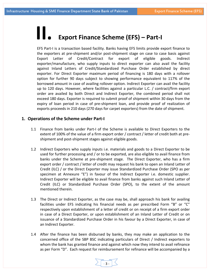# **II. Export Finance Scheme (EFS) – Part‐<sup>I</sup>**

EFS Part‐I is a transaction based facility. Banks having EFS limits provide export finance to the exporters at pre‐shipment and/or post‐shipment stage on case to case basis against Export Letter of Credit/Contract for export of eligible goods. Indirect exporter/manufacture, who supply inputs to direct exporter can also avail the facility against Inland Letters of Credit/Standardized Purchase Order established by direct exporter. For Direct Exporter maximum period of financing is 180 days with a rollover option for further 90 days subject to showing performance equivalent to 117% of the borrowed amount in case of availing rollover option. Indirect Exporter can avail the facility up to 120 days. However, where facilities against a particular L.C. / contract/firm export order are availed by both Direct and Indirect Exporter, the combined period shall not exceed 180 days. Exporter is required to submit proof of shipment within 30 days from the expiry of loan period in case of pre‐shipment loan, and provide proof of realization of exports proceeds in 210 days (270 days for carpet exporters) from the date of shipment.

# **1. Operations of the Scheme under Part‐I**

- 1.1 Finance from banks under Part‐I of the Scheme is available to Direct Exporters to the extent of 100% of the value of a firm export order / contract / letter of credit both at preshipment and post‐shipment stages against eligible goods.
- 1.2 Indirect Exporters who supply inputs i.e. materials and goods to a Direct Exporter to be used for further processing and / or to be exported, are also eligible to avail finance from banks under the Scheme at pre-shipment stage. The Direct Exporter, who has a firm export order / contract / letter of credit may request his bank to open an Inland Letter of Credit (ILC) / or the Direct Exporter may issue Standardized Purchase Order (SPO as per specimen at Annexure "E") in favour of the Indirect Exporter i.e. domestic supplier. Indirect Exporter will be eligible to avail finance from banks against such Inland Letter of Credit (ILC) or Standardized Purchase Order (SPO), to the extent of the amount mentioned therein.
- 1.3 The Direct or Indirect Exporter, as the case may be, shall approach his bank for availing facilities under EFS indicating his financial needs as per prescribed Form "B" or "C" respectively upon establishment of a letter of credit or on receipt of a firm export order in case of a Direct Exporter, or upon establishment of an Inland Letter of Credit or on issuance of a Standardized Purchase Order in his favour by a Direct Exporter, in case of an Indirect Exporter.
- 1.4 After the finance has been disbursed by banks, they may make an application to the concerned office of the SBP BSC indicating particulars of Direct / Indirect exporters to whom the bank has granted finance and against which now they intend to avail refinance as per Form "D". Each request for reimbursement for refinance will be accompanied by a

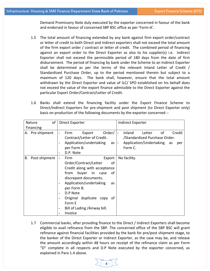Demand Promissory Note duly executed by the exporter concerned in favour of the bank and endorsed in favour of concerned SBP BSC office as per 'Form‐A'.

- 1.5 The total amount of financing extended by any bank against firm export order/contract or letter of credit to both Direct and Indirect exporters shall not exceed the total amount of the firm export order / contract or letter of credit. The combined period of financing against an export order to the Direct Exporter as also to his supplier(s) i.e. Indirect Exporter shall not exceed the permissible period of 180 days from the date of first disbursement. The period of financing by bank under the Scheme to an Indirect Exporter shall be determined as per the terms of the relevant Inland Letter of Credit / Standardized Purchase Order, up to the period mentioned therein but subject to a maximum of 120 days. The bank shall, however, ensure that the total amount withdrawn by the Direct Exporter and value of ILC/ SPO established on his behalf does not exceed the value of the export finance admissible to the Direct Exporter against the particular Export Order/Contract/Letter of Credit.
- 1.6 Banks shall extend the financing facility under the Export Finance Scheme to Direct/Indirect Exporters for pre-shipment and post shipment (to Direct Exporter only) basis on production of the following documents by the exporter concerned :‐

| Nature              | of | Direct Exporter                                               | Indirect Exporter                                      |
|---------------------|----|---------------------------------------------------------------|--------------------------------------------------------|
| Financing           |    |                                                               |                                                        |
| A. Pre-shipment     |    | Export<br>Order/<br>Firm<br>$\overline{\phantom{a}}$          | Inland<br>of<br>Credit<br>Letter<br>$\blacksquare$     |
|                     |    | Contract/Letter of Credit.                                    | /Standardized Purchase Order.                          |
|                     |    | Application/undertaking<br>as I<br>$\overline{\phantom{a}}$   | Application/Undertaking<br>as<br>per<br>$\overline{a}$ |
|                     |    | per Form B.                                                   | Form C.                                                |
|                     |    | D.P. Note<br>$\qquad \qquad -$                                |                                                        |
| В.<br>Post-shipment |    | Firm<br>Export<br>$\overline{\phantom{a}}$                    | No facility.                                           |
|                     |    | Order/Contract/Letter<br>οf                                   |                                                        |
|                     |    | Credit along with acceptance                                  |                                                        |
|                     |    | buyer<br>from<br>in case<br>οf                                |                                                        |
|                     |    | discrepant documents.                                         |                                                        |
|                     |    | Application/undertaking<br>as<br>$\qquad \qquad \blacksquare$ |                                                        |
|                     |    | per Form B.                                                   |                                                        |
|                     |    | D.P Note<br>$\overline{a}$                                    |                                                        |
|                     |    | Original duplicate copy<br>ot<br>$\overline{a}$               |                                                        |
|                     |    | Form E                                                        |                                                        |
|                     |    | Bill of Lading /Airway bill.<br>$\qquad \qquad \blacksquare$  |                                                        |
|                     |    | Invoice                                                       |                                                        |

1.7 Commercial banks, after providing finance to the Direct / Indirect Exporters shall become eligible to avail refinance from the SBP. The concerned office of the SBP BSC will grant refinance against financial facilities provided by the bank for pre/post shipment stage, to the banker of the Direct Exporter or Indirect Exporter, as the case may be, and release the amount accordingly within 48 hours on receipt of the refinance claim as per Form "D" complete in all respects and D.P Note executed by the exporter concerned, as explained in Para 1.4 above.

‐ 4 ‐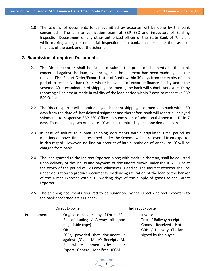1.8 The scrutiny of documents to be submitted by exporter will be done by the bank concerned. The on‐site verification team of SBP BSC and inspectors of Banking Inspection Department or any other authorized officer of the State Bank of Pakistan, while making a regular or special inspection of a bank, shall examine the cases of finances of the bank under the Scheme.

# **2. Submission of required Documents**

- 2.1 The Direct exporter shall be liable to submit the proof of shipments to the bank concerned against the loan, evidencing that the shipment had been made against the relevant Firm Export Order/Export Letter of Credit within 30 days from the expiry of loan period to respective bank from where he availed of export refinance facility under the Scheme. After examination of shipping documents, the bank will submit Annexure‐'D' by reporting all shipment made in validity of the loan period within 7 days to respective SBP BSC Office.
- 2.2 The Direct exporter will submit delayed shipment shipping documents to bank within 30 days from the date of last delayed shipment and thereafter bank will report all delayed shipments to respective SBP BSC Office on submission of additional Annexure‐ 'D' in 7 days. Thus in all only two Annexure‐'D' will be submitted against one demand loan.
- 2.3 In case of failure to submit shipping documents within stipulated time period as mentioned above, fine as prescribed under the Scheme will be recovered from exporter in this regard. However, no fine on account of late submission of Annexure‐'D' will be charged from bank.
- 2.4 The loan granted to the Indirect Exporter, along with mark-up thereon, shall be adjusted upon delivery of the inputs and payment of documents drawn under the ILC/SPO or at the expiry of the period of 120 days, whichever is earlier. The Indirect exporter shall be under obligation to produce documents, evidencing utilization of the loan to the banker of the Direct Exporter within 15 working days of the supply of goods to the Direct Exporter.
- 2.5 The shipping documents required to be submitted by the Direct /Indirect Exporters to the bank concerned are as under:‐

|              | Direct Exporter                                                                                                                                                                                                                                       | Indirect Exporter                                                                                                      |
|--------------|-------------------------------------------------------------------------------------------------------------------------------------------------------------------------------------------------------------------------------------------------------|------------------------------------------------------------------------------------------------------------------------|
| Pre-shipment | Original duplicate copy of Form "E"<br>Bill of Lading / Airway bill (non<br>negotiable copy)<br>OR<br>FCRs, provided that document is<br>against L/C and Mate's Receipts (M.<br>$R. -$ where shipment is by sea) or<br>Export General Manifest (EGM - | Invoice<br>Truck / Railway receipt.<br>$\sim$<br>Goods Received Note<br>GRN / Delivery Challan<br>signed by the buyer. |

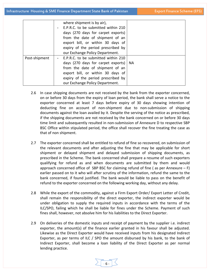|               | where shipment is by air),          |    |
|---------------|-------------------------------------|----|
|               | E.P.R.C. to be submitted within 210 |    |
|               | days (270 days for carpet exports)  |    |
|               | from the date of shipment of an     |    |
|               | export bill, or within 30 days of   |    |
|               | expiry of the period prescribed by  |    |
|               | our Exchange Policy Department.     |    |
| Post-shipment | E.P.R.C. to be submitted within 210 |    |
|               | days (270 days for carpet exports)  | NA |
|               | from the date of shipment of an     |    |
|               | export bill, or within 30 days of   |    |
|               | expiry of the period prescribed by  |    |
|               | our Exchange Policy Department.     |    |

- 2.6 In case shipping documents are not received by the bank from the exporter concerned, on or before 30 days from the expiry of loan period, the bank shall serve a notice to the exporter concerned at least 7 days before expiry of 30 days showing intention of deducting fine on account of non‐shipment due to non‐submission of shipping documents against the loan availed by it. Despite the serving of the notice as prescribed, if the shipping documents are not received by the bank concerned on or before 30 days time limit and subsequently resulted in non‐submission of Annexure D to respective SBP BSC Office within stipulated period, the office shall recover the fine treating the case as that of non shipment.
- 2.7 The exporter concerned shall be entitled to refund of fine so recovered, on submission of the relevant documents and after adjusting the fine that may be applicable for short shipment or delayed shipment and delayed submission of shipping documents, as prescribed in the Scheme. The bank concerned shall prepare a resume of such exporters qualifying for refund as and when documents are submitted by them and would approach concerned office of SBP BSC for claiming refund of fine (as per Annexure  $- F$ ) earlier passed on to it who will after scrutiny of the information, refund the same to the bank concerned, if found justified. The bank would be liable to pass on the benefit of refund to the exporter concerned on the following working day, without any delay.
- 2.8 While the export of the commodity, against a Firm Export Order/ Export Letter of Credit, shall remain the responsibility of the direct exporter, the indirect exporter would be under obligation to supply the required inputs in accordance with the terms of the ILC/SPO, failing which he shall be liable for fines under the Scheme. Payment of such fines shall, however, not absolve him for his liabilities to the Direct Exporter.
- 2.9 On deliveries of the domestic inputs and receipt of payment by the supplier i.e. indirect exporter, the amount(s) of the finance earlier granted in his favour shall be adjusted. Likewise as the Direct Exporter would have received inputs from his designated Indirect Exporter, as per terms of ILC / SPO the amount disbursed by his bank, to the bank of Indirect Exporter, shall become a loan liability of the Direct Exporter as per normal lending practice.

‐ 6 ‐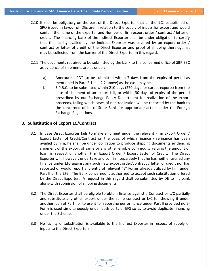- 2.10 It shall be obligatory on the part of the Direct Exporter that all the ILCs established or SPO issued in favour of IDEs are in relation to the supply of inputs for export and would contain the name of the exporter and Number of firm export order / contract / letter of credit. The financing bank of the Indirect Exporter shall be under obligation to certify that the facility availed by the Indirect Exporter was covered by an export order / contract or letter of credit of the Direct Exporter and proof of shipping there-against may be collected from the banker of the Direct Exporter in this regard.
- 2.11 The documents required to be submitted by the bank to the concerned office of SBP BSC as evidence of shipments are as under:‐
	- a) Annexure "D" (to be submitted within 7 days from the expiry of period as mentioned in Para 2.1 and 2.2 above) as the case may be.
	- b) E.P.R.C. to be submitted within 210 days (270 days for carpet exports) from the date of shipment of an export bill, or within 30 days of expiry of the period prescribed by our Exchange Policy Department for realization of the export proceeds, failing which cases of non realization will be reported by the bank to the concerned office of State Bank for appropriate action under the Foreign Exchange Regulations.

# **3. Substitution of Export LC/Contract**

- 3.1 In case Direct Exporter fails to make shipment under the relevant Firm Export Order / Export Letter of Credit/Contract on the basis of which finance / refinance has been availed by him, he shall be under obligation to produce shipping documents evidencing shipment of the export of same or any other eligible commodity valuing the amount of loan, in respect of another Firm Export Order / Export Letter of Credit. The Direct Exporter will, however, undertake and confirm separately that he has neither availed any finance under EFS against any such new export order/contract / letter of credit nor has reported or would report any entry of relevant "E" Forms already utilized by him under Part II of the EFS. The Bank concerned is authorized to accept such substitution offered by the Direct Exporter. A request in this regard shall be submitted by DE to his bank along‐with submission of shipping documents.
- 3.2 The Direct Exporter shall be eligible to obtain finance against a Contract or L/C partially and substitute any other export under the same contract or L/C for showing it under another loan of Part I or to use it for reporting performance under Part II provided no E‐ Form is used simultaneously under both parts of EFS so as to avoid duplicate financing under the Scheme.
- 3.3 No facility of substitution is available to the Indirect Exporter in respect of supply of inputs to the Direct Exporters.

‐ 7 ‐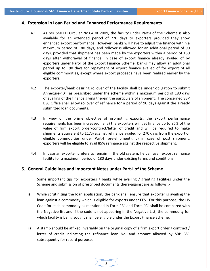## **4. Extension in Loan Period and Enhanced Performance Requirements**

- 4.1 As per SMEFD Circular No.04 of 2009, the facility under Part‐I of the Scheme is also available for an extended period of 270 days to exporters provided they show enhanced export performance. However, banks will have to adjust the finance within a maximum period of 180 days, and rollover is allowed for an additional period of 90 days, provided that shipment has been made by the exporters within a period of 180 days after withdrawal of finance. In case of export finance already availed of by exporters under Part-I of the Export Finance Scheme, banks may allow an additional period up to 90 days for repayment of export finance availed of for export of all eligible commodities, except where export proceeds have been realized earlier by the exporters.
- 4.2 The exporter/bank desiring rollover of the facility shall be under obligation to submit Annexure‐"D", as prescribed under the scheme within a maximum period of 180 days of availing of the finance giving therein the particulars of shipment. The concerned SBP BSC Office shall allow rollover of refinance for a period of 90 days against the already submitted loan documents.
- 4.3 In view of the prime objective of promoting exports, the export performance requirements has been increased i.e. a) the exporters will get finance up to 85% of the value of firm export order/contract/letter of credit and will be required to make shipments equivalent to 117% against refinance availed for 270 days from the export of eligible commodities under Part‐I (pre‐shipment), b) in case of post shipment, exporters will be eligible to avail 85% refinance against the respective shipment.
- 4.4 In case an exporter prefers to remain in the old system, he can avail export refinance facility for a maximum period of 180 days under existing terms and conditions.

### **5. General Guidelines and Important Notes under Part‐I of the Scheme**

Some important tips for exporters / banks while availing / granting facilities under the Scheme and submission of prescribed documents there‐against are as follows :‐

- i) While scrutinizing the loan application, the bank shall ensure that exporter is availing the loan against a commodity which is eligible for exports under EFS. For this purpose, the HS Code for each commodity as mentioned in Form "B" and Form "C" shall be compared with the Negative list and if the code is not appearing in the Negative List, the commodity for which facility is being sought shall be eligible under the Export Finance Scheme.
- ii) A stamp should be affixed invariably on the original copy of a firm export order / contract / letter of credit indicating the refinance loan No. and amount allowed by SBP BSC subsequently for record purpose.

‐ 8 ‐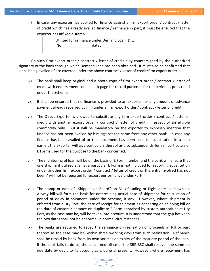iii) In case, any exporter has applied for finance against a firm export order / contract / letter of credit which has already availed finance / refinance in part, it must be ensured that the exporter has affixed a stamp

> Utilized for refinance under Demand Loan (D.L.) No. The dated  $\sim$  dated  $\sim$

On such firm export order / contract / letter of credit duly countersigned by the authorized signatory of the bank through which Demand Loan has been obtained. It must also be confirmed that loans being availed of are covered under the above contract / letter of credit/firm export order.

- iv) The bank shall keep original and a photo copy of firm export order / contract / letter of credit with endorsements on its back page for record purposes for the period as prescribed under the Scheme.
- v) It shall be ensured that no finance is provided to an exporter for any amount of advance payment already received by him under a firm export order / contract / letter of credit.
- vi) The Direct Exporter is allowed to substitute any firm export order / contract / letter of credit with another export order / contract / letter of credit in respect of an eligible commodity only. But it will be mandatory on the exporter to expressly mention that finance has not been availed by him against the same from any other bank. In case any finance has been availed of or that document has been used for substitution in a loan earlier, the exporter will give particulars thereof as also subsequently furnish particulars of E Forms used for the purpose to the bank concerned.
- vii) The monitoring of loan will be on the basis of E Form number and the bank will ensure that one shipment utilized against a particular E Form is not included for reporting substitution under another firm export order / contract / letter of credit or the entry involved has not been / will not be reported for export performance under Part‐II.
- viii) The stamp or date of "Shipped on Board" on Bill of Lading or flight date as shown on Airway bill will form the basis for determining actual date of shipment for calculation of period of delay in shipment under the Scheme, if any. However, where shipment is effected from a Dry Port, the date of receipt for shipment as appearing on shipping bill or the date of custom clearance on duplicate E Form appraised by custom authorities at Dry Port, as the case may be, will be taken into account. It is understood that the gap between the two dates shall not be abnormal in normal circumstances.
- ix) The banks are required to repay the refinance on realization of proceeds in full or part thereof as the case may be, within three working days from such realization. Refinance shall be repaid by bank from its own sources on expiry of the maturity period of the loan. If the bank fails to do so, the concerned office of the SBP BSC shall recover the same on due date by debit to its account as is done at present. However, where repayment has

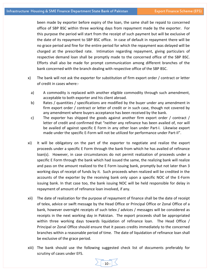been made by exporter before expiry of the loan, the same shall be repaid to concerned office of SBP BSC within three working days from repayment made by the exporter. For this purpose the period will start from the receipt of such payment but will be exclusive of the date of its repayment to SBP BSC office. In case of default in repayment there will be no grace period and fine for the entire period for which the repayment was delayed will be charged at the prescribed rate. Intimation regarding repayment, giving particulars of respective demand loan shall be promptly made to the concerned office of the SBP BSC. Efforts shall also be made for prompt communication among different branches of the bank concerned with the branch dealing with respective office of the SBP BSC.

- x) The bank will not ask the exporter for substitution of firm export order / contract or letter of credit in cases where:‐
	- a) A commodity is replaced with another eligible commodity through such amendment, acceptable to both exporter and his client abroad.
	- b) Rates / quantities / specifications are modified by the buyer under any amendment in firm export order / contract or letter of credit or in such case, though not covered by any amendment where buyers acceptance has been received by the bank.
	- c) The exporter has shipped the goods against another firm export order / contract / letter of credit and confirmed that "neither any refinance has been availed of, nor will be availed of against specific E Form in any other loan under Part-I. Likewise export made under the specific E‐Form will not be utilized for performance under Part‐II".
- xi) It will be obligatory on the part of the exporter to negotiate and realize the export proceeds under a specific E Form through the bank from which he has availed of refinance loan(s). However, in case circumstances do not permit realization of proceeds under a specific E Form through the bank which had issued the same, the realizing bank will realize and pass on the amount realized to the E Form issuing bank, promptly but not later than 3 working days of receipt of funds by it. Such proceeds when realized will be credited in the accounts of the exporter by the receiving bank only upon a specific NOC of the E‐Form issuing bank. In that case too, the bank issuing NOC will be held responsible for delay in repayment of amount of refinance loan involved, if any.
- xii) The date of realization for the purpose of repayment of finance shall be the date of receipt of telex, advice or swift message by the Head Office or Principal Office or Zonal Office of a bank, however overnight receipts of such telex / advices / messages will be considered as receipts in the next working day in Pakistan. The export proceeds shall be appropriated within three working days towards liquidation of refinance loan. The Head Office  $/$ Principal or Zonal Office should ensure that it passes credits immediately to the concerned branches within a reasonable period of time. The date of liquidation of refinance loan shall be exclusive of the grace period.
- xiii) The bank should use the following suggested check list of documents preferably for scrutiny of cases under EFS.

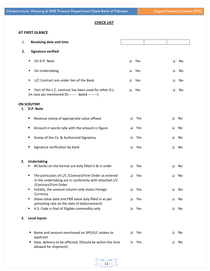# **CHECK LIST**

# **AT FIRST GLANCE**

| 1. | <b>Receiving date and time</b>                                                                                                                  |        |     |        |    |
|----|-------------------------------------------------------------------------------------------------------------------------------------------------|--------|-----|--------|----|
| 2. | <b>Signature verified</b>                                                                                                                       |        |     |        |    |
|    | On D.P. Note<br>٠                                                                                                                               | $\Box$ | Yes | $\Box$ | No |
|    | On Undertaking<br>п                                                                                                                             | $\Box$ | Yes | □      | No |
|    | L/C Contract are under lien of the Bank<br>٠                                                                                                    | □      | Yes | □      | No |
|    | Part of the L.C. contract has been used for other D.L.<br>٠<br>(in case yes mentioned DL------- dated --------)                                 | $\Box$ | Yes | □      | No |
| 1. | <b>ON SCRUTINY</b><br>D.P. Note                                                                                                                 |        |     |        |    |
|    | Revenue stamp of appropriate value affixed<br>п                                                                                                 | $\Box$ | Yes | □      | No |
|    | Amount in words tally with the amount in figure<br>п                                                                                            | $\Box$ | Yes | $\Box$ | No |
|    | Stamp of the Co. & Authorized Signatory<br>п                                                                                                    | $\Box$ | Yes | □      | No |
|    | Signature verification by bank<br>п                                                                                                             | $\Box$ | Yes | □      | No |
| 2. | <b>Undertaking</b>                                                                                                                              |        |     |        |    |
|    | All banks on the format are duly filled in & in order<br>٠                                                                                      | $\Box$ | Yes | $\Box$ | No |
|    | The particulars of L/C / Contract/Firm Order as entered<br>٠<br>in the undertaking are in conformity with attached L/C<br>/Contract/Firm Order. | $\Box$ | Yes | □      | No |
|    | Initially, the amount column only states Foreign<br>٠<br>Currency                                                                               | □      | Yes | □      | No |
|    | (Have value date and PKR value duly filled in as per<br>٠<br>prevailing rate on the date of disbursement)                                       | $\Box$ | Yes | □      | No |
|    | H.S. Code is that of Eligible commodity only<br>٠                                                                                               | $\Box$ | Yes | □      | No |
| 3. | <b>Local Inputs</b>                                                                                                                             |        |     |        |    |
|    | Name and amount mentioned on SPO/ILC relates to<br>ш<br>applicant                                                                               | □      | Yes | □      | No |
|    | Date, delivery to be effected. (Should be within the time<br>ш<br>allowed for shipment).                                                        | □      | Yes | $\Box$ | No |

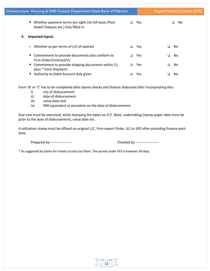|    | Infrastructure Housing & SME Finance Department State Bank of Pakistan                       |        |     |   | <b>Export Finance Scheme (EFS)</b> |
|----|----------------------------------------------------------------------------------------------|--------|-----|---|------------------------------------|
|    | ■ Whether payment terms (on sight /on DA basis / Post<br>dated Cheques etc.) duly filled in. | $\Box$ | Yes |   | No<br>$\Box$                       |
| 4. | <b>Imported Inputs</b>                                                                       |        |     |   |                                    |
|    | • Whether as per terms of L/C of opened                                                      | $\Box$ | Yes | ▫ | No.                                |
|    | • Commitment to provide documents also conform to<br>Firm Order/Contract/LC                  | ▫      | Yes | o | No                                 |
|    | ■ Commitment to provide shipping documents within 21<br>days * from shipment.                | ▫      | Yes | □ | No.                                |
|    | ■ Authority to Debit Account duly given                                                      |        | Yes |   | No.                                |

Form 'B' or 'C' has to be completed after above checks and finance disbursed after incorporating the:‐

- i) city of disbursement
- ii) date of disbursement
- iii) value date and
- iv) PKR equivalent as prevalent on the date of disbursement.

Due care must be exercised, while stamping the dates on D.P. Note, undertaking (stamp paper date must be prior to the date of disbursement), value date etc.

A utilization stamp must be affixed on original L/C, Firm export Order, ILC or SPO after providing finance each time.

Prepared by‐‐‐‐‐‐‐‐‐‐‐‐‐‐‐‐‐‐‐ Checked by ‐‐‐‐‐‐‐‐‐‐‐‐‐‐‐‐‐‐‐‐

\* As suggested by banks for timely scrutiny by them. The period under EFS is however 30 days.

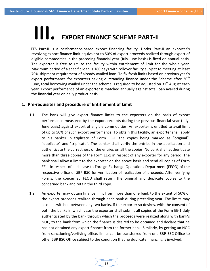# **III. EXPORT FINANCE SCHEME PART‐II**

EFS Part-II is a performance-based export financing facility. Under Part-II an exporter's revolving export finance limit equivalent to 50% of export proceeds realized through export of eligible commodities in the preceding financial year (July‐June basis) is fixed on annual basis. The exporter is free to utilize the facility within entitlement of limit for the whole year. Maximum period of a specific loan is 180 days with rollover facility subject to meeting at least 70% shipment requirement of already availed loan. To fix fresh limits based on previous year's export performance for exporters having outstanding finance under the Scheme after  $30<sup>th</sup>$ June, total borrowing availed under the scheme is required to be adjusted on  $31<sup>st</sup>$  August each year. Export performance of an exporter is matched annually against total loan availed during the financial year on daily product basis.

# **1. Pre‐requisites and procedure of Entitlement of Limit**

- 1.1 The bank will give export finance limits to the exporters on the basis of export performance measured by the export receipts during the previous financial year (July‐ June basis) against export of eligible commodities. An exporter is entitled to avail limit of up to 50% of such export performance. To obtain this facility, an exporter shall apply to his banker in triplicate of Form EE‐1, the copies being marked as "original", "duplicate" and "triplicate". The banker shall verify the entries in the application and authenticate the correctness of the entries on all the copies. No bank shall authenticate more than three copies of the Form EE‐1 in respect of any exporter for any period. The bank shall allow a limit to the exporter on the above basis and send all copies of Form EE‐1 in respect of each case to Foreign Exchange Operations Department (FEOD) of the respective office of SBP BSC for verification of realization of proceeds. After verifying Forms, the concerned FEOD shall return the original and duplicate copies to the concerned bank and retain the third copy.
- 1.2 An exporter may obtain finance limit from more than one bank to the extent of 50% of the export proceeds realized through each bank during preceding year. The limits may also be switched between any two banks, if the exporter so desires, with the consent of both the banks in which case the exporter shall submit all copies of the Form EE‐1 duly authenticated by the bank through which the proceeds were realized along with bank's NOC, to the bank from which the finance is desired to be obtained and declare that he has not obtained any export finance from the former bank. Similarly, by getting an NOC from sanctioning/verifying office, limits can be transferred from one SBP BSC Office to other SBP BSC Office subject to the condition that no duplicate financing is involved.

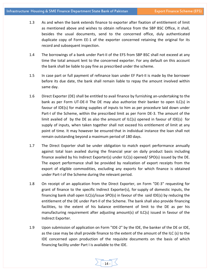- 1.3 As and when the bank extends finance to exporter after fixation of entitlement of limit as mentioned above and wishes to obtain refinance from the SBP BSC Office, it shall, besides the usual documents, send to the concerned office, duly authenticated duplicate copy of Form EE‐1 of the exporter concerned retaining the original for its record and subsequent inspection.
- 1.4 The borrowings of a bank under Part-II of the EFS from SBP BSC shall not exceed at any time the total amount lent to the concerned exporter. For any default on this account the bank shall be liable to pay fine as prescribed under the scheme.
- 1.5 In case part or full payment of refinance loan under EF Part‐II is made by the borrower before its due date, the bank shall remain liable to repay the amount involved within same day.
- 1.6 Direct Exporter (DE) shall be entitled to avail finance by furnishing an‐undertaking to the bank as per Form UT‐DE‐II The DE may also authorize their banker to open ILC(s) in favour of IDE(s) for making supplies of inputs to him as per procedure laid down under Part-I of the Scheme, within the prescribed limit as per Form DE-3. The amount of the limit availed of by the DE as also the amount of ILC(s) opened in favour of IDE(s) for supply of inputs, when taken together shall not exceed his entitlement of limit at any point of time. It may however be ensured that in individual instance the loan shall not remain outstanding beyond a maximum period of 180 days.
- 1.7 The Direct Exporter shall be under obligation to match export performance annually against total loan availed during the financial year on daily product basis including finance availed by his Indirect Exporter(s) under ILC(s) opened/ SPO(s) issued by the DE. The export performance shall be provided by realization of export receipts from the export of eligible commodities, excluding any exports for which finance is obtained under Part‐I of the Scheme during the relevant period.
- 1.8 On receipt of an application from the Direct Exporter, on Form "DE-3" requesting for grant of finance to the specific Indirect Exporter(s), for supply of domestic inputs, the financing bank shall open ILC(s)/issue SPO(s) in favour of the said IDE(s) by reducing the entitlement of the DE under Part‐Il of the Scheme. The bank shall also provide financing facilities, to the extent of his balance entitlement of limit to the DE as per his manufacturing requirement after adjusting amount(s) of ILC(s) issued in favour of the Indirect Exporter.
- 1.9 Upon submission of application on Form "IDE‐2" by the IDE, the banker of the DE or IDE, as the case may be shall provide finance to the extent of the amount of the ILC (s) to the IDE concerned upon production of the requisite documents on the basis of which financing facility under Part I is available to the IDE.

 $14 -$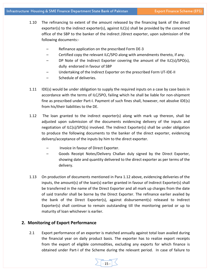- 1.10 The refinancing to extent of the amount released by the financing bank of the direct exporter(s) to the indirect exporter(s), against ILC(s) shall be provided by the concerned office of the SBP to the banker of the indirect /direct exporter, upon submission of the following documents:‐
	- Refinance application on the prescribed Form DE-3
	- Certified copy the relevant ILC/SPO along with amendments thereto, if any.
	- DP Note of the Indirect Exporter covering the amount of the ILC(s)/SPO(s), dully endorsed in favour of SBP
	- Undertaking of the Indirect Exporter on the prescribed Form UT‐IDE‐II
	- Schedule of deliveries.
- 1.11 IDE(s) would be under obligation to supply the required inputs on a case by case basis in accordance with the terms of ILC/SPO, failing which he shall be liable for non‐shipment fine as prescribed under Part‐I. Payment of such fines shall, however, not absolve IDE(s) from his/their liabilities to the DE.
- 1.12 The loan granted to the indirect exporter(s) along with mark up thereon, shall be adjusted upon submission of the documents evidencing delivery of the inputs and negotiation of ILC(s)/SPO(s) involved. The Indirect Exporter(s) shall be under obligation to produce the following documents to the banker of the direct exporter, evidencing delivery/acceptance of the inputs by him to the direct exporter.
	- Invoice in favour of Direct Exporter.
	- Goods Receipt Notes/Delivery Challan duly signed by the Direct Exporter, showing date and quantity delivered to the direct exporter as per terms of the delivery.
- 1.13 On production of documents mentioned in Para 1.12 above, evidencing deliveries of the inputs, the amount(s) of the loan(s) earlier granted in favour of Indirect Exporter(s) shall be transferred in the name of the Direct Exporter and all mark up charges from the date of said transfer shall be borne by the Direct Exporter. The refinance earlier availed by the bank of the Direct Exporter(s), against disbursement(s) released to Indirect Exporter(s) shall continue to remain outstanding till the monitoring period or up to maturity of loan whichever is earlier.

# **2. Monitoring of Export Performance**

2.1 Export performance of an exporter is matched annually against total loan availed during the financial year on daily product basis. The exporter has to realize export receipts from the export of eligible commodities, excluding any exports for which finance is obtained under Part-I of the Scheme during the relevant period. In case of failure to

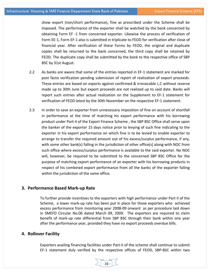show export (non/short performance), fine as prescribed under the Scheme shall be imposed. The performance of the exporter shall be watched by the bank concerned by obtaining Form EF ‐1 from concerned exporter. Likewise the process of verification of Form EE‐1, Form EF‐1 also is submitted in triplicate to FEOD for verification after close of financial year. After verification of these Forms by FEOD, the original and duplicate copies shall be returned to the bank concerned, the third copy shall be retained by FEOD. The duplicate copy shall be submitted by the bank to the respective office of SBP BSC by 31st August.

- 2.2 As banks are aware that some of the entries reported in EF‐1 statement are marked for post facto verification pending submission of report of realization of export proceeds. These entries are based on exports against confirmed & irrevocable L.C without reserve made up to 30th June but export proceeds are not realized up to said date. Banks will report such entries after actual realization on the Supplement to EF‐1 statement for verification of FEOD latest by the 30th November on the respective EF‐1 statement.
- 2.3 In order to save an exporter from unnecessary imposition of fine on account of shortfall in performance at the time of matching his export performance with his borrowing product under Part‐II of the Export Finance Scheme , the SBP BSC Office shall serve upon the banker of the exporter 15 days notice prior to levying of such fine indicating to the exporter in his export performance on which fine is to be levied to enable exporter to arrange to transfer the required amount out of his excess/surplus performance, if any, with some other bank(s) falling in the jurisdiction of other office(s) along-with NOC from such office where excess/surplus performance is available to the said exporter. No NOC will, however, be required to be submitted to the concerned SBP BSC Office for the purpose of matching export performance of an exporter with his borrowing products in respect of his combined export performance from all the banks of the exporter falling within the jurisdiction of the same office.

# **3. Performance Based Mark‐up Rate**

To further provide incentives to the exporters with high performance under Part II of the Scheme, a lower mark-up rate has been put in place for those exporters who achieved excess performance from monitoring year 2008‐09 onward as per procedure laid down in SMEFD Circular No.06 dated March 09, 2009. The exporters are required to claim benefit of mark‐up rate differential from SBP BSC through their bank within one year after the performance year, provided they have no export proceeds overdue bills.

# **4. Rollover Facility**

Exporters availing financing facilities under Part‐II of the scheme shall continue to submit EF-1 statement duly verified by the respective offices of FEOD, SBP-BSC within two

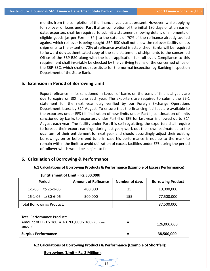months from the completion of the financial year, as at present. However, while applying for rollover of loans under Part II after completion of the initial 180 days or at an earlier date, exporters shall be required to submit a statement showing details of shipments of eligible goods [as per Form - EP ] to the extent of 70% of the refinance already availed against which roll over is being sought. SBP‐BSC shall not allow the rollover facility unless shipments to the extent of 70% of refinance availed is established. Banks will be required to forward duly authenticated copy of the said statement of shipments to the concerned Office of the SBP‐BSC along‐with the loan application for roll over. Compliance to this requirement shall invariably be checked by the verifying teams of the concerned office of the SBP‐BSC, which shall not substitute for the normal inspection by Banking Inspection Department of the State Bank.

# **5. Extension in Period of Borrowing Limit**

Export refinance limits sanctioned in favour of banks on the basis of financial year, are due to expire on 30th June each year. The exporters are required to submit the EE‐1 statement for the next year duly verified by our Foreign Exchange Operations Department latest by  $31<sup>st</sup>$  August. To ensure that the financing facilities are available to the exporters under EFS till finalization of new limits under Part‐II, continuation of limits sanctioned by banks to exporters under Part-II of EFS for last year is allowed up to  $31<sup>st</sup>$ August each year. The facility under Part‐II is self regulating, the exporters shall require to foresee their export earnings during last year; work out their own estimate as to the quantum of their entitlement for next year and should accordingly adjust their existing borrowings on or before end June in case his performance is not up to the mark to remain within the limit to avoid utilization of excess facilities under EFS during the period of rollover which would be subject to fine.

#### **6. Calculation of Borrowing & Performance**

#### **6.1 Calculations of Borrowing Products & Performance (Example of Excess Performance):**

| <b>Period</b>                    | <b>Amount of Refinance</b> | <b>Number of days</b> | <b>Borrowing Product</b> |
|----------------------------------|----------------------------|-----------------------|--------------------------|
| to 25-1-06<br>$1 - 1 - 06$       | 400,000                    | 25                    | 10,000,000               |
| 26-1-06 to 30-6-06               | 500,000                    | 155                   | 77,500,000               |
| <b>Total Borrowings Product:</b> |                            |                       | 87,500,000               |

#### **[Entitlement of Limit = Rs.500,000]**

| Total Performance Product:<br>Amount of EF-1 x 180 = Rs.700,000 x 180 (Notional<br>amount) | 126,000,000 |
|--------------------------------------------------------------------------------------------|-------------|
| <b>Surplus Performance</b>                                                                 | 38,500,000  |

 $-17 -$ 

**6.2 Calculations of Borrowing Products & Performance (Example of Shortfall):**

#### **Borrowings (Limit = Rs. 2 Million)**: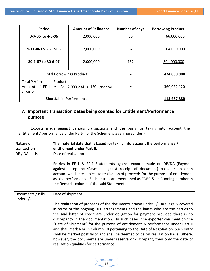| <b>Period</b>                                                                                  | <b>Amount of Refinance</b> | <b>Number of days</b> | <b>Borrowing Product</b> |
|------------------------------------------------------------------------------------------------|----------------------------|-----------------------|--------------------------|
| 3-7-06 to 4-8-06                                                                               | 2,000,000                  | 33                    | 66,000,000               |
| 9-11-06 to 31-12-06                                                                            | 2,000,000                  | 52                    | 104,000,000              |
| 30-1-07 to 30-6-07                                                                             | 2,000,000                  | 152                   | 304,000,000              |
| <b>Total Borrowings Product:</b>                                                               |                            | =                     | 474,000,000              |
| <b>Total Performance Product:</b><br>Amount of EF-1 = Rs. 2,000,234 x 180 (Notional<br>amount) |                            | =                     | 360,032,120              |
| <b>Shortfall in Performance</b>                                                                |                            |                       | 113,967,880              |

# **7. Important Transaction Dates being counted for Entitlement/Performance purpose**

Exports made against various transactions and the basis for taking into account the entitlement / performance under Part‐II of the Scheme is given hereunder:‐

| Nature of                       | The material date that is based for taking into account the performance /                                                                                                                                                                                                                                                                                                                                                                                                                                                                                                                                                                                                                                                   |
|---------------------------------|-----------------------------------------------------------------------------------------------------------------------------------------------------------------------------------------------------------------------------------------------------------------------------------------------------------------------------------------------------------------------------------------------------------------------------------------------------------------------------------------------------------------------------------------------------------------------------------------------------------------------------------------------------------------------------------------------------------------------------|
| transaction                     | entitlement under Part-II.                                                                                                                                                                                                                                                                                                                                                                                                                                                                                                                                                                                                                                                                                                  |
| DP / DA basis                   | Date of realization                                                                                                                                                                                                                                                                                                                                                                                                                                                                                                                                                                                                                                                                                                         |
|                                 | Entries in EE-1 & EF-1 Statements against exports made on DP/DA (Payment<br>against acceptance/Payment against receipt of document) basis or on open<br>account which are subject to realization of proceeds for the purpose of entitlement                                                                                                                                                                                                                                                                                                                                                                                                                                                                                 |
|                                 | as also performance. Such entries are mentioned as FDBC & its Running number in<br>the Remarks column of the said Statements                                                                                                                                                                                                                                                                                                                                                                                                                                                                                                                                                                                                |
| Documents / Bills<br>under L/C. | Date of shipment                                                                                                                                                                                                                                                                                                                                                                                                                                                                                                                                                                                                                                                                                                            |
|                                 | The realization of proceeds of the documents drawn under L/C are legally covered<br>in terms of the ongoing UCP arrangements and the banks who are the parties to<br>the said letter of credit are under obligation for payment provided there is no<br>discrepancy in the documentation. In such cases, the exporter can mention the<br>"Date of Shipment" for the purpose of entitlement & performance under Part II<br>and shall mark N/A in Column 10 pertaining to the Date of Negotiation. Such entry<br>shall be marked post facto and shall be deemed to be on realization basis. Where,<br>however, the documents are under reserve or discrepant, then only the date of<br>realization qualifies for performance. |

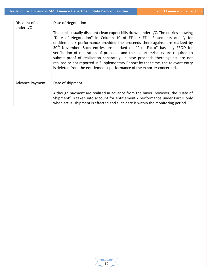| Discount of bill<br>under L/C | Date of Negotiation                                                                                                                                                                                                                                                                                                                                                                                                                                                                                                                                                                                                                                                           |
|-------------------------------|-------------------------------------------------------------------------------------------------------------------------------------------------------------------------------------------------------------------------------------------------------------------------------------------------------------------------------------------------------------------------------------------------------------------------------------------------------------------------------------------------------------------------------------------------------------------------------------------------------------------------------------------------------------------------------|
|                               | The banks usually discount clean export bills drawn under L/C. The entries showing<br>"Date of Negotiation" in Column 10 of EE-1 / EF-1 Statements qualify for<br>entitlement / performance provided the proceeds there-against are realized by<br>30 <sup>th</sup> November. Such entries are marked on "Post Facto" basis by FEOD for<br>verification of realization of proceeds and the exporters/banks are required to<br>submit proof of realization separately. In case proceeds there-against are not<br>realized or not reported in Supplementary Report by that time, the relevant entry<br>is deleted from the entitlement / performance of the exporter concerned. |
| <b>Advance Payment</b>        | Date of shipment                                                                                                                                                                                                                                                                                                                                                                                                                                                                                                                                                                                                                                                              |
|                               | Although payment are realized in advance from the buyer, however, the "Date of<br>Shipment" is taken into account for entitlement / performance under Part II only<br>when actual shipment is effected and such date is within the monitoring period.                                                                                                                                                                                                                                                                                                                                                                                                                         |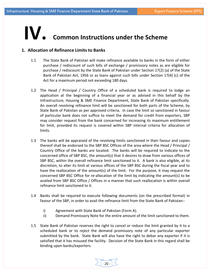# **IV. Common Instructions under the Scheme**

# **1. Allocation of Refinance Limits to Banks**

- 1.1 The State Bank of Pakistan will make refinance available to banks in the form of either purchase / rediscount of such bills of exchange / promissory notes as are eligible for purchase / rediscount by the State Bank of Pakistan under Section 17(2) (a) of the State Bank of Pakistan Act, 1956 or as loans against such bills under Section 17(4) (c) of the Act for a maximum period not exceeding 180 days.
- 1.2 The Head / Principal / Country Office of a scheduled bank is required to lodge an application at the beginning of a financial year or as advised in this behalf by the Infrastructure, Housing & SME Finance Department, State Bank of Pakistan specifically. An overall revolving refinance limit will be sanctioned for both parts of the Scheme, by State Bank of Pakistan as per approved criteria. In case the limit so sanctioned in favour of particular bank does not suffice to meet the demand for credit from exporters, SBP may consider request from the bank concerned for increasing its maximum entitlement for limit, provided its request is covered within SBP internal criteria for allocation of limits.
- 1.3 The banks will be appraised of the revolving limits sanctioned in their favour and copies thereof shall be endorsed to the SBP BSC Offices of the area where the Head / Principal / Country Office of the banks are located. The banks will be required to indicate to the concerned office of SBP BSC, the amount(s) that it desires to draw from various offices of SBP BSC, within the overall refinance limit sanctioned to it. A bank is also eligible, at its discretion, to alter its limit at various offices of the SBP BSC during the fiscal year and to have the reallocation of the amount(s) of the limit. For the purpose, it may request the concerned SBP BSC Office for re‐allocation of the limit by indicating the amount(s) to be availed from SBP BSC Office / Offices in a manner that such reallocation is within overall refinance limit sanctioned to it.
- 1.4 Banks shall be required to execute following documents (on the prescribed format) in favour of the SBP, in order to avail the refinance limit from the State Bank of Pakistan:‐
	- i) Agreement with State Bank of Pakistan (Form A).
	- ii) Demand Promissory Note for the entire amount of the limit sanctioned to them.
- 1.5 State Bank of Pakistan reserves the right to cancel or reduce the limit granted by it to a scheduled bank or to reject the demand promissory note of any particular exporter submitted by the bank. State Bank will also have the right to debar any exporter if it is satisfied that it has misused the facility. Decision of the State Bank in this regard shall be binding upon banks/exporters.

 $20 -$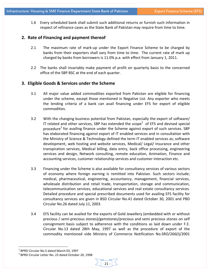1.6 Every scheduled bank shall submit such additional returns or furnish such information in respect of refinance cases as the State Bank of Pakistan may require from time to time.

# **2. Rate of Financing and payment thereof**

- 2.1 The maximum rate of mark-up under the Export Finance Scheme to be charged by banks from their exporters shall vary from time to time. The current rate of mark up charged by banks from borrowers is 11.0% p.a. with effect from January 1, 2011.
- 2.2 The banks shall invariably make payment of profit on quarterly basis to the concerned office of the SBP BSC at the end of each quarter.

# **3. Eligible Goods & Services under the Scheme**

- 3.1 All major value added commodities exported from Pakistan are eligible for financing under the scheme, except those mentioned in Negative List. Any exporter who meets the lending criteria of a bank can avail financing under EFS for export of eligible commodities.
- 3.2 With the changing business potential from Pakistan, especially the export of software/ IT related and other services, SBP has extended the scope<sup>1</sup> of EFS and devised special procedure<sup>2</sup> for availing finance under the Scheme against export of such services. SBP has elaborated financing against export of IT enabled services and in consultation with the Ministry of Science & Technology defined the term IT enabled services as; software development, web hosting and website services, Medical/ Legal/ Insurance and other transpiration services, Medical billing, data entry, back office processing, engineering services and design, Network consulting, remote education, Animation, Finance and accounting services, customer relationship services and customer interaction etc.
- 3.3 Financing under the Scheme is also available for consultancy services of various sectors of economy where foreign earning is remitted into Pakistan. Such sectors include; medical, pharmaceutical, engineering, accountancy, management, financial services, wholesale distribution and retail trade, transportation, storage and communication, telecommunication services, educational services and real estate consultancy services. Detailed procedure and special prescribed documents used for availing EFS facility for consultancy services are given in BSD Circular No.41 dated October 30, 2001 and PBD Circular No.26 dated July 11, 2003.
- 3.4 EFS facility can be availed for the exports of Gold Jewellery (embedded with or without precious / semi‐precious stones)/gemstones/precious and semi precious stones on self consignment basis subject to adherence with the conditions as laid down under F.E. Circular No.13 dated 28th May, 1997 as well as the procedure of export of the commodity mentioned vide Ministry of Commerce Notification No.SRO/266(I)/2001

1

<sup>&</sup>lt;sup>1</sup> BPRD Circular No.5 dated March 03, 1997<br><sup>2</sup> BPRD Circular Letter No. 23 dated October 20, 1998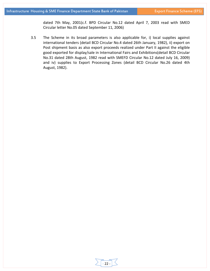dated 7th May, 2001(c.f. BPD Circular No.12 dated April 7, 2003 read with SMED Circular letter No.05 dated September 11, 2006)

3.5 The Scheme in its broad parameters is also applicable for, i) local supplies against international tenders (detail BCD Circular No.4 dated 26th January, 1982), ii) export on Post shipment basis as also export proceeds realized under Part II against the eligible good exported for display/sale in International Fairs and Exhibitions(detail BCD Circular No.31 dated 28th August, 1982 read with SMEFD Circular No.12 dated July 16, 2009) and iv) supplies to Export Processing Zones (detail BCD Circular No.26 dated 4th August, 1982).

 $-22-$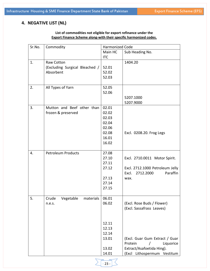# **4. NEGATIVE LIST (NL)**

# **List of commodities not eligible for export refinance under the Export Finance Scheme along‐with their specific harmonized codes.**

|                                                  | <b>Harmonized Code</b>                                               |                                                                                                                                                                               |  |
|--------------------------------------------------|----------------------------------------------------------------------|-------------------------------------------------------------------------------------------------------------------------------------------------------------------------------|--|
|                                                  | Main HC                                                              | Sub Heading No.                                                                                                                                                               |  |
|                                                  | <b>ITC</b>                                                           |                                                                                                                                                                               |  |
| Raw Cotton<br>Absorbent                          | 52.01<br>52.02<br>52.03                                              | 1404.20                                                                                                                                                                       |  |
| All Types of Yarn                                | 52.05<br>52.06                                                       | 5207.1000<br>5207.9000                                                                                                                                                        |  |
| Mutton and Beef other than<br>frozen & preserved | 02.01<br>02.02<br>02.03<br>02.04<br>02.06<br>02.08<br>16.01<br>16.02 | Excl. 0208.20. Frog Legs                                                                                                                                                      |  |
| <b>Petroleum Products</b>                        | 27.08<br>27.10<br>27.11<br>27.12<br>27.13<br>27.14<br>27.15          | Excl. 2710.0011 Motor Spirit.<br>Excl. 2712.1000 Petroleum Jelly<br>Excl.<br>2712.2000<br>Paraffin<br>wax.                                                                    |  |
| Crude Vegetable<br>n.e.s.                        | 06.02<br>12.11<br>12.13<br>12.14<br>13.01<br>13.02                   | (Excl. Rose Buds / Flower)<br>(Excl. Sassafrass Leaves)<br>(Excl. Guar Gum Extract / Guar<br>Protein<br>Liquorice<br>Extract/Asafoetida Hing).<br>(Excl Lithospermum Vestitum |  |
|                                                  |                                                                      | (Excluding Surgical Bleached /<br>materials 06.01<br>14.01                                                                                                                    |  |

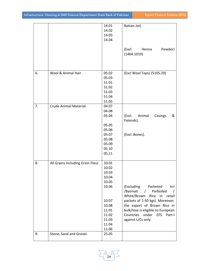|    |                                  | 14.01 | Rattan Jot)                                                                                             |
|----|----------------------------------|-------|---------------------------------------------------------------------------------------------------------|
|    |                                  | 14.02 |                                                                                                         |
|    |                                  | 14.03 |                                                                                                         |
|    |                                  | 14.04 |                                                                                                         |
|    |                                  |       |                                                                                                         |
|    |                                  |       | Powder)<br>(Excl.<br>Henna<br>(1404.1010)                                                               |
|    |                                  |       |                                                                                                         |
| 6. | Wool & Animal Hair               | 05.02 | (Excl Wool Tops) (5105.29)                                                                              |
|    |                                  | 05.03 |                                                                                                         |
|    |                                  | 51.01 |                                                                                                         |
|    |                                  | 51.02 |                                                                                                         |
|    |                                  | 51.03 |                                                                                                         |
|    |                                  | 51.04 |                                                                                                         |
|    |                                  | 51.05 |                                                                                                         |
| 7. | Crude Animal Material.           | 04.07 |                                                                                                         |
|    |                                  | 04.08 |                                                                                                         |
|    |                                  | 05.04 | (Excl.<br>Animal<br>&<br>Casings                                                                        |
|    |                                  |       | Fatends).                                                                                               |
|    |                                  | 05.05 |                                                                                                         |
|    |                                  | 05.06 |                                                                                                         |
|    |                                  | 05.07 | (Excl. Bones).                                                                                          |
|    |                                  | 05.08 |                                                                                                         |
|    |                                  | 05.09 |                                                                                                         |
|    |                                  | 05.10 |                                                                                                         |
|    |                                  | 05.11 |                                                                                                         |
|    |                                  |       |                                                                                                         |
| 8. | All Grains including Grain Flour | 10.01 |                                                                                                         |
|    |                                  | 10.02 |                                                                                                         |
|    |                                  | 10.03 |                                                                                                         |
|    |                                  | 10.04 |                                                                                                         |
|    |                                  | 10.05 |                                                                                                         |
|    |                                  | 10.06 | (Excluding<br>Packeted<br>Irri<br>/Basmati<br>Parboiled<br>$\prime$<br>White/Brown<br>Rice in<br>retail |
|    |                                  | 10.07 | packets of 1-50 kgs). Moreover,                                                                         |
|    |                                  | 10.08 |                                                                                                         |
|    |                                  |       | the export of Brown Rice in                                                                             |
|    |                                  | 11.01 | bulk/lose is eligible to European                                                                       |
|    |                                  | 11.02 | Countries under EFS Part-I                                                                              |
|    |                                  | 11.03 | against L/Cs only.                                                                                      |
|    |                                  | 11.04 |                                                                                                         |
|    |                                  | 11.06 |                                                                                                         |
| 9. | Stone, Sand and Gravel.          | 25.05 |                                                                                                         |
|    |                                  |       |                                                                                                         |

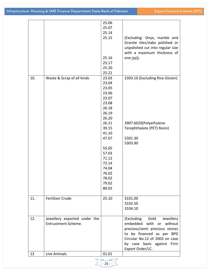|     |                              | 25.06 |                                  |
|-----|------------------------------|-------|----------------------------------|
|     |                              | 25.07 |                                  |
|     |                              | 25.14 |                                  |
|     |                              | 25.15 | (Excluding: Onyx, marble and     |
|     |                              |       | Granite tiles/slabs polished or  |
|     |                              |       | unpolished cut into regular size |
|     |                              |       | with a maximum thickness of      |
|     |                              | 25.16 | one inch.                        |
|     |                              | 25.17 |                                  |
|     |                              | 25.20 |                                  |
|     |                              | 25.21 |                                  |
| 10. | Waste & Scrap of all kinds   | 23.03 | 2303.10 (Excluding Rice Gluten)  |
|     |                              | 23.04 |                                  |
|     |                              | 23.05 |                                  |
|     |                              |       |                                  |
|     |                              | 23.06 |                                  |
|     |                              | 23.07 |                                  |
|     |                              | 23.08 |                                  |
|     |                              | 26.18 |                                  |
|     |                              | 26.19 |                                  |
|     |                              | 26.20 |                                  |
|     |                              | 26.21 | 3907.6020(Polyethylene           |
|     |                              | 39.15 | Terephthalate (PET) Resin)       |
|     |                              | 41.10 |                                  |
|     |                              | 47.07 | 5301.30                          |
|     |                              |       | 5303.90                          |
|     |                              | 55.05 |                                  |
|     |                              | 57.03 |                                  |
|     |                              | 71.12 |                                  |
|     |                              | 72.14 |                                  |
|     |                              | 74.04 |                                  |
|     |                              | 76.02 |                                  |
|     |                              | 78.02 |                                  |
|     |                              | 79.02 |                                  |
|     |                              | 80.02 |                                  |
|     |                              |       |                                  |
| 11. | Fertilizer Crude             | 25.10 | 3101.00                          |
|     |                              |       | 3102.50                          |
|     |                              |       | 3104.10                          |
|     |                              |       |                                  |
| 12. | Jewellery exported under the |       | (Excluding Gold<br>Jewellery     |
|     | Entrustment Scheme.          |       | embedded with or without         |
|     |                              |       | precious/semi precious stones    |
|     |                              |       | to be financed as per BPD        |
|     |                              |       | Circular No.12 of 2003 on case   |
|     |                              |       | by case basis against Firm       |
|     |                              |       | Export Order/LC.                 |
| 13  | Live Animals                 | 01.01 |                                  |
|     |                              |       |                                  |

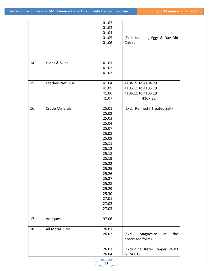|     |                       | 01.02<br>01.03<br>01.04<br>01.05<br>01.06                                                                                                                                                 | (Excl. Hatching Eggs & Day Old<br>Chicks                                  |
|-----|-----------------------|-------------------------------------------------------------------------------------------------------------------------------------------------------------------------------------------|---------------------------------------------------------------------------|
| 14  | Hides & Skins         | 41.01<br>41.02<br>41.03                                                                                                                                                                   |                                                                           |
| 15  | Leather Wet Blue      | 41.04<br>41.05<br>41.06<br>41.07                                                                                                                                                          | 4104.21 to 4104.29<br>4105.11 to 4105.19<br>4106.11 to 4106.19<br>4107.21 |
| 16  | <b>Crude Minerals</b> | 25.01<br>25.02<br>25.03<br>25.04<br>25.07<br>25.08<br>25.09<br>25.11<br>25.12<br>25.18<br>25.19<br>25.22<br>25.25<br>25.26<br>25.27<br>25.28<br>25.29<br>25.30<br>27.01<br>27.02<br>27.03 | (Excl. Refined / Treated Salt)                                            |
| 17. | Antiques              | 97.06                                                                                                                                                                                     |                                                                           |
| 18. | All Metal Ores        | 26.01<br>26.02                                                                                                                                                                            | Magnesite<br>the<br>(Excl.<br>in<br>processed form)                       |
|     |                       | 26.03<br>26.04                                                                                                                                                                            | (Excluding Blister Copper 26.03<br>& 74.01)                               |

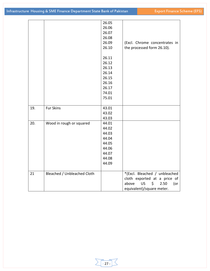|     |                             | 26.05 |                                       |
|-----|-----------------------------|-------|---------------------------------------|
|     |                             | 26.06 |                                       |
|     |                             | 26.07 |                                       |
|     |                             | 26.08 |                                       |
|     |                             | 26.09 | (Excl. Chrome concentrates in         |
|     |                             | 26.10 | the processed form 26.10).            |
|     |                             |       |                                       |
|     |                             | 26.11 |                                       |
|     |                             | 26.12 |                                       |
|     |                             | 26.13 |                                       |
|     |                             | 26.14 |                                       |
|     |                             | 26.15 |                                       |
|     |                             | 26.16 |                                       |
|     |                             | 26.17 |                                       |
|     |                             | 74.01 |                                       |
|     |                             | 75.01 |                                       |
|     |                             |       |                                       |
| 19. | <b>Fur Skins</b>            | 43.01 |                                       |
|     |                             | 43.02 |                                       |
|     |                             | 43.03 |                                       |
| 20. | Wood in rough or squared    | 44.01 |                                       |
|     |                             | 44.02 |                                       |
|     |                             | 44.03 |                                       |
|     |                             | 44.04 |                                       |
|     |                             | 44.05 |                                       |
|     |                             | 44.06 |                                       |
|     |                             | 44.07 |                                       |
|     |                             | 44.08 |                                       |
|     |                             | 44.09 |                                       |
|     |                             |       |                                       |
| 21  | Bleached / Unbleached Cloth |       | *(Excl. Bleached / unbleached         |
|     |                             |       | cloth exported at a price of          |
|     |                             |       | above<br><b>US</b><br>2.50<br>\$<br>( |
|     |                             |       | equivalent)/square meter.             |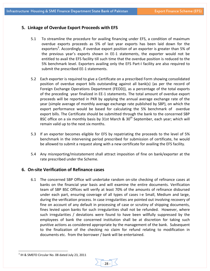# **5. Linkage of Overdue Export Proceeds with EFS**

- 5.1 To streamline the procedure for availing financing under EFS, a condition of maximum overdue exports proceeds as 5% of last year exports has been laid down for the exporters<sup>3</sup>. Accordingly, if overdue export position of an exporter is greater than 5% of the previous year's exports shown in EE‐1 statements, the exporter would not be entitled to avail the EFS facility till such time that the overdue position is reduced to the 5% benchmark level. Exporters availing only the EFS Part-I facility are also required to submit the prescribed EE‐1 statements.
- 5.2 Each exporter is required to give a Certificate on a prescribed Form showing consolidated position of overdue export bills outstanding against all bank(s) {as per the record of Foreign Exchange Operations Department (FEOD)}, as a percentage of the total exports of the preceding year finalized in EE‐1 statements. The total amount of overdue export proceeds will be reported in PKR by applying the annual average exchange rate of the year (simple average of monthly average exchange rate published by SBP), on which the export performance would be based for calculating the 5% benchmark of overdue export bills. The Certificate should be submitted through the bank to the concerned SBP BSC office on a six monthly basis by 31st March &  $30<sup>th</sup>$  September, each year; which will remain valid up to the next six months.
- 5.3 If an exporter becomes eligible for EFS by repatriating the proceeds to the level of 5% benchmark in the intervening period prescribed for submission of certificate, he would be allowed to submit a request along with a new certificate for availing the EFS facility.
- 5.4 Any misreporting/misstatement shall attract imposition of fine on bank/exporter at the rate prescribed under the Scheme.

# **6. On‐site Verification of Refinance cases**

6.1 The concerned SBP Office will undertake random on‐site checking of refinance cases at banks on the financial year basis and will examine the entire documents. Verification team of SBP BSC Offices will verify at least 70% of the amounts of refinance disbursed under each part, ensuring coverage of all types of cases i‐e Small, Medium and large, during the verification process. In case irregularities are pointed out involving recovery of fine on account of any default in processing of case or scrutiny of shipping documents, fines levied upon banks for such irregularities shall not be refunded. However, where such irregularities / deviations were found to have been willfully suppressed by the employees of bank the concerned institution shall be at discretion for taking such punitive actions as considered appropriate by the management of the bank. Subsequent to the finalization of the checking no claim for refund relating to modification in documents etc. from the borrower / bank will be entertained.

‐ 28 ‐

 $\overline{a}$ 

 $3$  IH & SMEFD Circular No. 08 dated July 23, 2011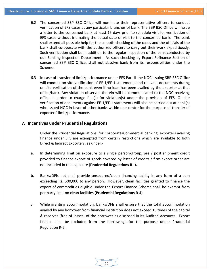- 6.2 The concerned SBP BSC Office will nominate their representative officers to conduct verification of EFS cases at any particular branches of bank. The SBP BSC Office will issue a letter to the concerned bank at least 15 days prior to schedule visit for verification of EFS cases without intimating the actual date of visit to the concerned bank. The bank shall extend all possible help for the smooth checking of the cases and the officials of the bank shall co-operate with the authorized officers to carry out their work expeditiously. Such verification shall be in addition to the regular inspection of the bank conducted by our Banking Inspection Department. As such checking by Export Refinance Section of concerned SBP BSC Office, shall not absolve bank from its responsibilities under the Scheme.
- 6.3 In case of transfer of limit/performance under EFS Part‐II the NOC issuing SBP BSC Office will conduct on-site verification of EE-1/EF-1 statements and relevant documents during on‐site verification of the bank even if no loan has been availed by the exporter at that office/bank. Any violation observed therein will be communicated to the NOC receiving office, in order to charge fine(s) for violation(s) under the provision of EFS. On‐site verification of documents against EE‐1/EF‐1 statements will also be carried out at bank(s) who issued NOC in favor of other banks within one centre for the purpose of transfer of exporters' limit/performance.

## **7. Incentives under Prudential Regulations**

Under the Prudential Regulations, for Corporate/Commercial banking, exporters availing finance under EFS are exempted from certain restrictions which are available to both Direct & Indirect Exporters, as under:‐

- a. In determining limit on exposure to a single person/group, pre / post shipment credit provided to finance export of goods covered by letter of credits / firm export order are not included in the exposure (**Prudential Regulations R‐I).**
- b. Banks/DFIs not shall provide unsecured/clean financing facility in any form of a sum exceeding Rs. 500,000 to any person. However, clean facilities granted to finance the export of commodities eligible under the Export Finance Scheme shall be exempt from per party limit on clean facilities **(Prudential Regulations R‐4).**
- $\epsilon$ . While granting accommodation, banks/DFIs shall ensure that the total accommodation availed by any borrower from financial institution does not exceed 10 times of the capital & reserves (free of losses) of the borrower as disclosed in its Audited Accounts. Export finance shall be excluded from the borrowings for the purpose under Prudential Regulation R‐5.

29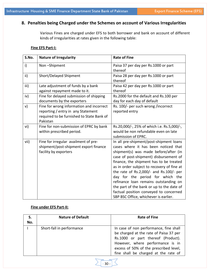# **8. Penalties being Charged under the Schemes on account of Various Irregularities**

Various Fines are charged under EFS to both borrower and bank on account of different kinds of irregularities at rates given in the following table:

# **Fine EFS Part‐I:**

| S.No.        | <b>Nature of Irregularity</b>                                                                                                           | <b>Rate of Fine</b>                                                                                                                                                                                                                                                                                                                                                                                                                                                                                                 |
|--------------|-----------------------------------------------------------------------------------------------------------------------------------------|---------------------------------------------------------------------------------------------------------------------------------------------------------------------------------------------------------------------------------------------------------------------------------------------------------------------------------------------------------------------------------------------------------------------------------------------------------------------------------------------------------------------|
| $\mathsf{i}$ | Non-Shipment                                                                                                                            | Paisa 37 per day per Rs.1000 or part<br>thereof                                                                                                                                                                                                                                                                                                                                                                                                                                                                     |
| ii)          | Short/Delayed Shipment                                                                                                                  | Paisa 28 per day per Rs.1000 or part<br>thereof                                                                                                                                                                                                                                                                                                                                                                                                                                                                     |
| iii)         | Late adjustment of funds by a bank<br>against repayment made to it.                                                                     | Paisa 42 per day per Rs.1000 or part<br>thereof                                                                                                                                                                                                                                                                                                                                                                                                                                                                     |
| iv)          | Fine for delayed submission of shipping<br>documents by the exporters                                                                   | Rs.2000 for the default and Rs.100 per<br>day for each day of default                                                                                                                                                                                                                                                                                                                                                                                                                                               |
| v)           | Fine for wrong information and incorrect<br>reporting / entry in any Statement<br>required to be furnished to State Bank of<br>Pakistan | Rs. 100/- per such wrong /incorrect<br>reported entry                                                                                                                                                                                                                                                                                                                                                                                                                                                               |
| vi)          | Fine for non-submission of EPRC by bank<br>within prescribed period.                                                                    | Rs.20,000/-, 25% of which i.e. Rs.5,000/-,<br>would be non refundable even on late<br>submission of EPRC.                                                                                                                                                                                                                                                                                                                                                                                                           |
| vii)         | Fine for irregular availment of pre-<br>shipment/post-shipment export finance<br>facility by exporters                                  | In all pre-shipment/post-shipment loans<br>cases where it has been noticed that<br>shipment(s) was made before/after (in<br>case of post-shipment) disbursement of<br>finance, the shipment has to be treated<br>as in order subject to recovery of fine at<br>the rate of Rs.2,000/- and Rs.100/- per<br>day for the period for which the<br>refinance loan remains outstanding on<br>the part of the bank or up to the date of<br>factual position conveyed to concerned<br>SBP BSC Office, whichever is earlier. |

# **Fine under EFS Part‐II:**

| S.<br>No. | <b>Nature of Default</b>  | <b>Rate of Fine</b>                                                                                                                                                                                                                          |
|-----------|---------------------------|----------------------------------------------------------------------------------------------------------------------------------------------------------------------------------------------------------------------------------------------|
|           | Short-fall in performance | In case of non performance, fine shall<br>be charged at the rate of Paisa 37 per<br>Rs.1000 or part thereof (Product).<br>However, where performance is in<br>excess of 50% of the prescribed level,<br>fine shall be charged at the rate of |

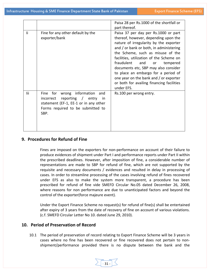|     |                                                                                                                                                                       | Paisa 28 per Rs.1000 of the shortfall or<br>part thereof.                                                                                                                                                                                                                                                                                                                                                                                                                     |
|-----|-----------------------------------------------------------------------------------------------------------------------------------------------------------------------|-------------------------------------------------------------------------------------------------------------------------------------------------------------------------------------------------------------------------------------------------------------------------------------------------------------------------------------------------------------------------------------------------------------------------------------------------------------------------------|
| li. | Fine for any other default by the<br>exporter/bank                                                                                                                    | Paisa 37 per day per Rs.1000 or part<br>thereof, however, depending upon the<br>nature of irregularity by the exporter<br>and / or bank or both, in administering<br>the Scheme, such as misuse of the<br>facilities, utilization of the Scheme on<br>fraudulent<br>and<br>tempered<br>or<br>documents etc, SBP may also consider<br>to place an embargo for a period of<br>one year on the bank and / or exporter<br>or both for availing financing facilities<br>under EFS. |
| lii | wrong information<br>for<br>Fine<br>and<br>reporting / entry<br>incorrect<br>in<br>statement (EF-1, EE-1 or in any other<br>Forms required to be submitted to<br>SBP. | Rs.100 per wrong entry.                                                                                                                                                                                                                                                                                                                                                                                                                                                       |

# **9. Procedures for Refund of Fine**

Fines are imposed on the exporters for non‐performance on account of their failure to produce evidences of shipment under Part I and performance reports under Part II within the prescribed deadlines. However, after imposition of fine, a considerable number of representations are made to SBP for refund of fine, which are not supported by the requisite and necessary documents / evidences and resulted in delay in processing of cases. In order to streamline processing of the cases involving refund of fines recovered under EFS as also to make the system more transparent, a procedure has been prescribed for refund of fine vide SMEFD Circular No.05 dated December 26, 2008, where reasons for non performance are due to unanticipated factors and beyond the control of the exporter(force majeure event).

Under the Export Finance Scheme no request(s) for refund of fine(s) shall be entertained after expiry of 3 years from the date of recovery of fine on account of various violations. (c.f. SMEFD Circular Letter No 10. dated June 29, 2010).

# **10. Period of Preservation of Record**

10.1 The period of preservation of record relating to Export Finance Scheme will be 3 years in cases where no fine has been recovered or fine recovered does not pertain to non‐ shipment/performance provided there is no dispute between the bank and the

 $31 -$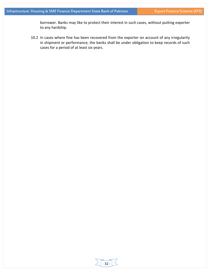borrower. Banks may like to protect their interest in such cases, without putting exporter to any hardship.

10.2 In cases where fine has been recovered from the exporter on account of any irregularity in shipment or performance, the banks shall be under obligation to keep records of such cases for a period of at least six years.

‐ 32 ‐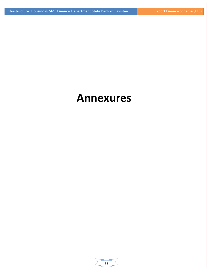# **Annexures**

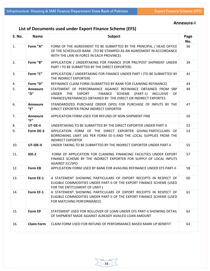# **List of Documents used under Export Finance Scheme (EFS)**

| <b>S. No.</b> | <b>Name</b>                             | <b>Subject</b>                                                                                                                                                                                                        | Page<br>No. |  |  |  |
|---------------|-----------------------------------------|-----------------------------------------------------------------------------------------------------------------------------------------------------------------------------------------------------------------------|-------------|--|--|--|
| 1.            | Form "A"                                | FORM OF THE AGREEMENT TO BE SUBMITTED BY THE PRINCIPAL / HEAD OFFICE<br>OF THE SCHEDULED BANK (TO BE STAMPED AS AN AGREEMENT IN ACCORDANCE<br>WITH THE LAW IN FORCE IN EACH PROVINCE)                                 | 36          |  |  |  |
| 2.            | Form "B"                                | APPLICATION / UNDERTAKING FOR FINANCE (FOR PRE/POST SHIPMENT UNDER<br>PART I TO BE SUBMITTED BY THE DIRECT EXPORTER)                                                                                                  |             |  |  |  |
| 3.            | Form "C"                                | APPLICATION / UNDERTAKING FOR FINANCE UNDER PART I (TO BE SUBMITTED BY<br>THE INDIRECT EXPORTER)                                                                                                                      | 42          |  |  |  |
| 4.            | Form "D"                                | REFINANCE CLAIM FORM (SUBMITTED BY BANK FOR CLAIMING REFINANCE)                                                                                                                                                       | 44          |  |  |  |
| 5.            | <b>Annexure</b><br>"D"                  | STATEMENT OF PERFORMANCE AGAINST REFINANCE OBTAINED FROM SBP<br><b>UNDER</b><br>THE<br>EXPORT<br>FINANCE SCHEME (PART-1)<br><b>INCLUSIVE</b><br>0F<br>FINANCES/REFINANCES OBTAINED BY THE DIRECT OR INDIRECT EXPORTES | 49          |  |  |  |
| 6.            | <b>Annexure</b><br>$^{\prime\prime}$ F" | STANDARDIZED PURCHASE ORDER (SPO) FOR PURCHASE OF INPUTS BY THE<br>DIRECT EXPORTER FROM INDIRECT EXPORTER                                                                                                             | 47          |  |  |  |
| 7.            | <b>Annexure</b><br>"F"                  | APPLICATION FORM USED FOR REFUND OF NON-SHIPMENT FINE                                                                                                                                                                 | 50          |  |  |  |
| 8.            | UT-DE-II                                | UNDERTAKING TO BE SUBMITTED BY THE DIRECT EXPORTER UNDER PART-II                                                                                                                                                      |             |  |  |  |
| 9.            | Form DE-3                               | APPLICATION FORM OF THE DIRECT EXPORTER GIVING PARTICULARS OF<br>BORROWING LIMIT (AS PER FORM EE-I) AND THE LOCAL SUPPLIES FROM THE<br><b>INDIRECT EXPORTER</b>                                                       | 53          |  |  |  |
| 10.           | UT-IDE-II                               | UNDER TAKING TO BE SUBMITTED BY THE INDIRECT EXPORTER UNDER PART-II                                                                                                                                                   |             |  |  |  |
| 11.           | IDE-2                                   | FORM OF APPLICATION FOR CLAIMING FINANCING FACILITIES UNDER EXPORT<br>FINANCE SCHEME BY THE INDIRECT EXPORTER FOR SUPPLY OF LOCAL INPUTS<br><b>AGAINST ILC/SPO</b>                                                    | 57          |  |  |  |
| 12.           | <b>Form EB</b>                          | APPLICATION FORM USED BY BANK FOR AVAILING REFINANCE UNDER EFS PART-II                                                                                                                                                | 58          |  |  |  |
| 13.           | Form EE-1                               | A STATEMENT SHOWING PARTICULARS OF EXPORT RECEIPTS IN RESPECT OF<br>ELIGIBLE COMMODITIES UNDER PART-II OF THE EXPORT FINANCE SCHEME (USED<br>FOR THE ENTITLEMENT OF LIMIT)                                            | 60          |  |  |  |
| 14.           | Form EF-1                               | A STATEMENT SHOWING PARTICULARS OF EXPORT RECEIPTS IN RESPECT OF<br>ELIGIBLE COMMODITIES UNDER PART-II OF THE EXPORT FINANCE SCHEME (USED<br>FOR MATCHING PERFORMANCE)                                                | 61          |  |  |  |
| 15.           | <b>Form EP</b>                          | STATEMENT USED FOR ROLLOVER OF LOAN UNDER EFS PART-II SHOWING DETAIL<br>OF SHIPMENT MADE AGAINST ALREADY AVAILED LOAN AMOUNT                                                                                          | 62          |  |  |  |
| 16.           | <b>Claim Form</b>                       | CLAIM FORM USED FOR REFUND OF PERFORMANCE BASED MARK UP BENEFIT                                                                                                                                                       | 63          |  |  |  |

# **Annexure‐I**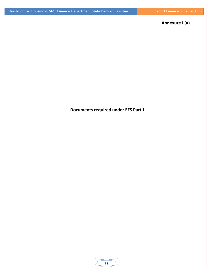# **Annexure I (a)**

# **Documents required under EFS Part‐I**

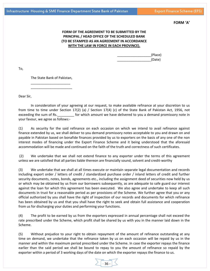#### **FORM 'A'**

# **FORM OF THE AGREEMENT TO BE SUBMITTED BY THE PRINCIPAL / HEAD OFFICE OF THE SCHEDULED BANK (TO BE STAMPED AS AN AGREEMENT IN ACCORDANCE WITH THE LAW IN FORCE IN EACH PROVINCE).**

 \_\_\_\_\_\_\_\_\_\_\_\_\_\_\_\_\_\_(Place) \_\_\_\_\_\_\_\_\_\_\_\_\_\_\_\_\_\_(Date)

To,

The State Bank of Pakistan, \_\_\_\_\_\_\_\_\_\_\_\_\_\_\_\_\_\_\_\_\_

\_\_\_\_\_\_\_\_\_\_\_\_\_\_\_\_\_\_\_\_\_\_

Dear Sir,

In consideration of your agreeing at our request, to make available refinance at your discretion to us from time to time under Section 17(2) (a) / Section 17(4) (c) of the State Bank of Pakistan Act, 1956, not exceeding the sum of Rs. \_\_\_\_\_\_\_\_\_ for which amount we have delivered to you a demand promissory note in your favour, we agree as follows:‐

(1) As security for the said refinance on each occasion on which we intend to avail refinance against finance extended by us, we shall deliver to you demand promissory notes acceptable to you and drawn on and payable in Pakistan based on bonafide finances provided by us to exporters on the basis of any one of the non interest modes of financing under the Export Finance Scheme and it being understood that the aforesaid accommodation will be made and continued on the faith of the truth and correctness of such certificates.

(2) We undertake that we shall not extend finance to any exporter under the terms of this agreement unless we are satisfied that all parties liable thereon are financially sound, solvent and credit‐worthy

(3) We undertake that we shall at all times execute or maintain separate legal documentation and records including export order / letters of credit / standardized purchase order / inland letters of credit and further security documents, notes, bonds, agreements etc., including the assignment deed of securities now held by us or which may be obtained by us from our borrowers subsequently, as are adequate to safe guard our interest against the loan for which this agreement has been executed. We also agree and undertake to keep all such documents in trust for a reasonable period as per provisions of the Scheme. We further agree that you or any official authorized by you shall have the right of inspection of our records and documents for which refinance has been obtained by us and that you shall have the right to seek and obtain full assistance and cooperation from us for discharging your duties and performing your functions.

(4) The profit to be earned by us from the exporters expressed in annual percentage shall not exceed the rate prescribed under the Scheme, which profit shall be shared by us with you in the manner laid down in the Scheme.

(5) Without prejudice to your right to obtain repayment of the amount of refinance outstanding at any time on demand, we undertake that the refinance taken by us on each occasion will be repaid by us in the manner and within the maximum period prescribed under the Scheme. In case the exporter repays the finance earlier than the said period we shall be bound to repay to you the amount of refinance so repaid by the exporter within a period of 3 working days of the date on which the exporter repays the finance to us.

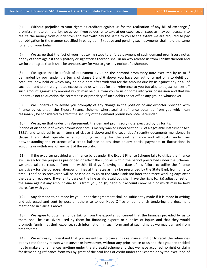(6) Without prejudice to your rights as creditors against us for the realization of any bill of exchange / promissory note at maturity, we agree, if you so desire, to take at our expense, all steps as may be necessary to realize the money from our debtors and forthwith pay the same to you to the extent we are required to pay our obligation in the manner specified in paragraph (5) above and pending such payments shall hold the same for and on your behalf.

(7) We agree that the fact of your not taking steps to enforce payment of such demand promissory notes or any of them against the signatory or signatories thereon shall in no way release us from liability thereon and we further agree that it shall be unnecessary for you to give any notice of dishonour.

(8) We agree that in default of repayment by us on the demand promissory note executed by us or if demanded by you under the terms of clause 5 and 6 above, you have our authority not only to debit our accounts now held or which may be held here‐after with you for the amount due by us against any or all of such demand promissory notes executed by us without further reference to you but also to adjust or set off such amount against any amount which may be due from you to us or come into your possession and that we undertake not to question the correctness or propriety of such debits or set off on any ground whatsoever.

(9) We undertake to advise you promptly of any change in the position of any exporter provided with finance by us under the Export Finance Scheme where‐against refinance obtained from you which can reasonably be considered to affect the security of the demand promissory note hereunder.

(10) We agree that under this Agreement, the demand promissory note executed by us for Rs. (notice of dishonour of which promissory note is merely waived under Section 98 of Negotiable Instrument Act, 1881), and tendered by us in terms of clause 1 above and the securities / security documents mentioned in clause 3 and shall operate as a continuing security for the said refinance and all costs, under law notwithstanding the existence of a credit balance at any time or any partial payments or fluctuations in accounts or withdrawal of any part of the security.

(11) If the exporter provided with finance by us under the Export Finance Scheme fails to utilize the finance exclusively for the purposes prescribed or effect the supplies within the period prescribed under the Scheme, we undertake to recover from him within 15 days following the date of his failure to utilize the finance exclusively for the purpose, along‐with fines at the rates as may be prescribed by the State Bank from time to time. The fine so recovered will be passed on by us to the State Bank not later than three working days after the date of recovery. If we fail to pass on the fine as aforesaid you shall have the right to, (a) adjust or set off the same against any amount due to us from you, or (b) debit our accounts now held or which may be held thereafter with you.

(12) Any demand to be made by you under the agreement shall be sufficiently made if it is made in writing and addressed and sent by post or otherwise to our Head Office or our branch tendering the document mentioned in clause 1 above.

(13) We agree to obtain an undertaking from the exporter concerned that the finances provided by us to them, shall be exclusively used by them for financing exports or supplies of inputs and that they would promptly furnish, at their expense, such information, in such form and at such time as we may demand from time to time.

(14) We expressly understand that you are entitled to cancel this refinance limit or to recall the refinances at any time for any reason whatsoever or howsoever, without any prior notice to us and that you are entitled not to make any refinances anytime under the aforesaid scheme and that we have acquired no right or claim for demanding refinance from you by grant of the said lines of credit under the Scheme or by the execution of

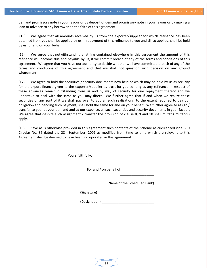demand promissory note in your favour or by deposit of demand promissory note in your favour or by making a loan or advance to any borrower on the faith of this agreement.

(15) We agree that all amounts received by us from the exporter/supplier for which refinance has been obtained from you shall be applied by us in repayment of this refinance to you and till so applied, shall be held by us for and on your behalf.

(16) We agree that notwithstanding anything contained elsewhere in this agreement the amount of this refinance will become due and payable by us, if we commit breach of any of the terms and conditions of this agreement. We agree that you have our authority to decide whether we have committed breach of any of the terms and conditions of this agreement and that we shall not question such decision on any ground whatsoever.

(17) We agree to hold the securities / security documents now held or which may be held by us as security for the export finance given to the exporter/supplier as trust for you so long as any refinance in respect of these advances remain outstanding from us and by way of security for due repayment thereof and we undertake to deal with the same as you may direct. We further agree that if and when we realize these securities or any part of it we shall pay over to you all such realizations, to the extent required to pay our obligation and pending such payment, shall hold the same for and on your behalf. We further agree to assign / transfer to you, at your demand and at our expense, all such securities and security documents in your favour. We agree that despite such assignment / transfer the provision of clause 8, 9 and 10 shall mutatis mutandis apply.

(18) Save as is otherwise provided in this agreement such contents of the Scheme as circularized vide BSD Circular No. 35 dated the  $28<sup>th</sup>$  September, 2001 as modified from time to time which are relevant to this Agreement shall be deemed to have been incorporated in this agreement.

Yours faithfully,

 $\overline{\phantom{a}}$  , and the contract of the contract of the contract of the contract of the contract of the contract of the contract of the contract of the contract of the contract of the contract of the contract of the contrac

For and / on behalf of \_\_\_\_\_\_\_\_\_\_\_\_\_\_\_\_\_\_

(Name of the Scheduled Bank)

\_\_\_\_\_\_\_\_\_\_\_\_\_\_\_\_\_

 $(Signature)$ 

(Designation) \_\_\_\_\_\_\_\_\_\_\_\_\_\_\_\_\_\_\_\_\_\_\_\_\_\_\_\_

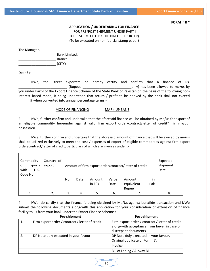#### **FORM " B "**

#### **APPLICATION / UNDERTAKING FOR FINANCE**

(FOR PRE/POST SHIPMENT UNDER PART I TO BE SUBMITTED BY THE DIRECT EXPORTER) (To be executed on non‐judicial stamp paper)

The Manager,

\_\_\_\_\_\_\_\_\_\_\_\_\_\_\_\_\_\_\_\_ Bank Limited, Branch,  $(CITY)$ 

Dear Sir,

I/We, the Direct exporters do hereby certify and confirm that a finance of Rs. (Rupees and the conductional only) has been allowed to me/us by you under Part‐I of the Export Finance Scheme of the State Bank of Pakistan on the basis of the following non‐ interest based mode, it being understood that return / profit to be derived by the bank shall not exceed \_% when converted into annual percentage terms:-

#### MODE OF FINANCING MARK-UP BASIS

2. I/We, further confirm and undertake that the aforesaid finance will be obtained by Me/us for export of an eligible commodity hereunder against valid firm export order/contract/letter of credit\* in my/our possession.

3. I/We, further confirm and undertake that the aforesaid amount of finance that will be availed by me/us shall be utilized exclusively to meet the cost / expenses of export of eligible commodities against firm export order/contract/letter of credit, particulars of which are given as under :‐

| Commodity<br>of<br>Exports<br>with<br>H.S.<br>Code No. | Country of<br>export |     |      |        |       | Amount of firm export order/contract/letter of credit |     | Expected<br>Shipment<br>Date |
|--------------------------------------------------------|----------------------|-----|------|--------|-------|-------------------------------------------------------|-----|------------------------------|
|                                                        |                      | No. | Date | Amount | Value | Amount                                                | in  |                              |
|                                                        |                      |     |      | in FCY | Date  | equivalent                                            | Pak |                              |
|                                                        |                      |     |      |        |       | Rupee                                                 |     |                              |
|                                                        |                      | 3.  | 4.   | 5.     | 6.    |                                                       |     | 8.                           |

4. I/We, do certify that the finance is being obtained by Me/Us against bonafide transaction and I/We submit the following documents along-with this application for your consideration of extension of finance facility to us from your bank under the Export Finance Scheme :‐

| <b>Pre-shipment</b>                             | Post-shipment                                                                                                          |
|-------------------------------------------------|------------------------------------------------------------------------------------------------------------------------|
| Firm export order / contract / letter of credit | Firm export order / contract / letter of credit<br>along-with acceptance from buyer in case of<br>discrepant documents |
| DP Note duly executed in your favour            | DP Note duly executed in your favour.                                                                                  |
|                                                 | Original duplicate of Form 'E'.                                                                                        |
|                                                 | Invoice                                                                                                                |
|                                                 | Bill of Lading / Airway Bill                                                                                           |

‐ 39 ‐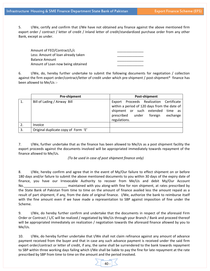5. I/We, certify and confirm that I/We have not obtained any finance against the above mentioned firm export order / contract / letter of credit / Inland letter of credit/standardized purchase order from any other Bank, except as under.

| Amount of FEO/Contract/L/c         |  |
|------------------------------------|--|
| Less: Amount of loan already taken |  |
| Balance Amount                     |  |
| Amount of Loan now being obtained  |  |

6. I/We, do, hereby further undertake to submit the following documents for negotiation / collection against the firm export order/contract/letter of credit under which pre‐shipment / post‐shipment\* finance has been allowed to Me/Us :‐

|    | Pre-shipment                        | Post-shipment                                                                                                                                                                                 |  |  |  |  |  |  |
|----|-------------------------------------|-----------------------------------------------------------------------------------------------------------------------------------------------------------------------------------------------|--|--|--|--|--|--|
|    | Bill of Lading / Airway Bill        | Proceeds Realization Certificate<br>Export<br>within a period of 120 days from the date of<br>shipment or such extended time as<br>prescribed<br>under<br>exchange<br>foreign<br>regulations. |  |  |  |  |  |  |
|    | Invoice                             |                                                                                                                                                                                               |  |  |  |  |  |  |
| 3. | Original duplicate copy of Form 'E' |                                                                                                                                                                                               |  |  |  |  |  |  |

7. I/We, further undertake that as the finance has been allowed to Me/Us as a post shipment facility the export proceeds against the documents involved will be appropriated immediately towards repayment of the finance allowed to Me/Us.

*(To be used in case of post shipment finance only)*

8. I/We, hereby confirm and agree that in the event of My/Our failure to effect shipment on or before 180 days and/or failure to submit the above mentioned documents to you within 30 days of the expiry date of finance, you have our Irrevocable Authority to recover from Me/Us and debit My/Our Account No. \_\_\_\_\_\_\_\_\_\_\_\_\_\_\_\_\_\_\_\_\_\_\_\_\_\_\_\_ maintained with you along-with fine for non shipment, at rates prescribed by the State Bank of Pakistan from time to time on the amount of finance availed less the amount repaid as a result of part shipment, if any, from the date of original finance. I/We, authorize the bank to reimburse itself with the fine amount even if we have made a representation to SBP against imposition of fine under the Scheme.

9. I/We, do hereby further confirm and undertake that the documents in respect of the aforesaid Firm Order or Contract / L/C will be realized / negotiated by Me/Us through your Branch / Bank and proceed thereof will be appropriated immediately on realization / negotiation towards the aforesaid finance allowed by you to Me/Us.

10. I/We, do hereby further undertake that I/We shall not claim refinance against any amount of advance payment received from the buyer and that in case any such advance payment is received under the said firm export order/contract or letter of credit, if any, the same shall be surrendered to the bank towards repayment to SBP within three working days failing which I/We shall be liable to pay the fine for late repayment at the rate prescribed by SBP from time to time on the amount and the period involved.

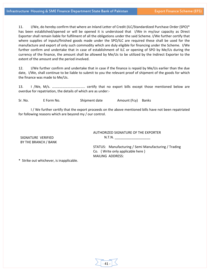11. I/We, do hereby confirm that where an Inland Letter of Credit (ILC/Standardized Purchase Order (SPO)\* has been established/opened or will be opened it is understood that I/We in my/our capacity as Direct Exporter shall remain liable for fulfilment of all the obligations under the said Scheme. I/We further certify that where supplies of inputs/finished goods made under the SPO/ILC are required these shall be used for the manufacture and export of only such commodity which are duly eligible for financing under the Scheme. I/We further confirm and undertake that in case of establishment of ILC or opening of SPO by Me/Us during the currency of the finance, the amount shall be allowed by Me/Us to be utilized by the Indirect Exporter to the extent of the amount and the period involved.

12. I/We further confirm and undertake that in case if the finance is repaid by Me/Us earlier than the due date, I/We, shall continue to be liable to submit to you the relevant proof of shipment of the goods for which the finance was made to Me/Us.

13. I /We, M/s. ……………………………….. certify that no export bills except those mentioned below are overdue for repatriation, the details of which are as under:‐

Sr. No. E Form No. Shipment date Amount (Fcy) Banks

I / We further certify that the export proceeds on the above mentioned bills have not been repatriated for following reasons which are beyond my / our control.

SIGNATURE VERIFIED BY THE BRANCH / BANK AUTHORIZED SIGNATURE OF THE EXPORTER  $N.T.N.$ 

STATUS: Manufacturing / Semi Manufacturing / Trading Co. { Write only applicable here } MAILING ADDRESS:

\* Strike out whichever, is inapplicable.

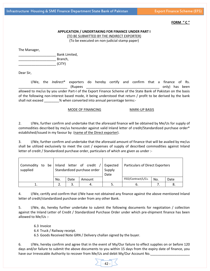#### **FORM " C "**

#### **APPLICATION / UNDERTAKING FOR FINANCE UNDER PART I**

(TO BE SUBMITTED BY THE INDIRECT EXPORTER)

(To be executed on non‐judicial stamp paper)

The Manager,

\_\_\_\_\_\_\_\_\_\_\_\_\_\_\_\_\_\_\_\_ Bank Limited, Branch,  $(CITY)$ 

Dear Sir,

I/We, the *Indirect*\* exporters do hereby certify and confirm that a finance of Rs. (Rupees the control of the control only) has been allowed to me/us by you under Part‐I of the Export Finance Scheme of the State Bank of Pakistan on the basis of the following non‐interest based mode, it being understood that return / profit to be derived by the bank shall not exceed \_\_\_\_\_\_\_\_ % when converted into annual percentage terms:-

#### MODE OF FINANCING MARK-UP BASIS

2. I/We, further confirm and undertake that the aforesaid finance will be obtained by Me/Us for supply of commodities described by me/us hereunder against valid Inland letter of credit/Standardized purchase order\* established/issued in my favour by (name of the Direct exporter).

3. I/We, further confirm and undertake that the aforesaid amount of finance that will be availed by me/us shall be utilized exclusively to meet the cost / expenses of supply of described commodities against Inland letter of credit / Standardized purchase order, particulars of which are given as under :-

| Commodity<br>to<br>be<br>supplied |     |      | Inland letter of credit<br>Standardized purchase order | Expected<br>Supply<br>Date | Particulars of Direct Exporters |     |      |
|-----------------------------------|-----|------|--------------------------------------------------------|----------------------------|---------------------------------|-----|------|
|                                   | No. | Date | Amount                                                 |                            | FEO/Contract/L/Cs.              | No. | Date |
|                                   |     | 3.   | 4.                                                     |                            | ხ.                              |     |      |

4. I/We, certify and confirm that I/We have not obtained any finance against the above mentioned Inland letter of credit/standardized purchase order from any other Bank.

5. I/We, do, hereby further undertake to submit the following documents for negotiation / collection against the Inland Letter of Credit / Standardized Purchase Order under which pre‐shipment finance has been allowed to Me/Us :‐

6.3 Invoice

6.4 Truck / Railway receipt.

6.5 Goods Received Note GRN / Delivery challan signed by the buyer.

6. I/We, hereby confirm and agree that in the event of My/Our failure to effect supplies on or before 120 days and/or failure to submit the above documents to you within 15 days from the expiry date of finance, you have our Irrevocable Authority to recover from Me/Us and debit My/Our Account No.

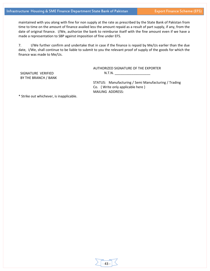maintained with you along with fine for non supply at the rate as prescribed by the State Bank of Pakistan from time to time on the amount of finance availed less the amount repaid as a result of part supply, if any, from the date of original finance. I/We, authorize the bank to reimburse itself with the fine amount even if we have a made a representation to SBP against imposition of fine under EFS.

7. I/We further confirm and undertake that in case if the finance is repaid by Me/Us earlier than the due date, I/We, shall continue to be liable to submit to you the relevant proof of supply of the goods for which the finance was made to Me/Us.

> AUTHORIZED SIGNATURE OF THE EXPORTER N.T.N. \_\_\_\_\_\_\_\_\_\_\_\_\_\_\_\_\_\_\_

SIGNATURE VERIFIED BY THE BRANCH / BANK

> STATUS: Manufacturing / Semi Manufacturing / Trading Co. { Write only applicable here } MAILING ADDRESS:

\* Strike out whichever, is inapplicable.

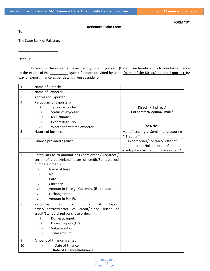**FORM "D"**

To,

The State Bank of Pakistan, \_\_\_\_\_\_\_\_\_\_\_\_\_\_\_\_\_\_\_\_\_

\_\_\_\_\_\_\_\_\_\_\_\_\_\_\_\_\_\_\_\_\_

Dear Sir,

In terms of the agreement executed by us with you on (Date) we hereby apply to you for refinance to the extent of Rs. \_\_\_\_\_\_\_\_\_\_\_\_\_\_against finances provided by us to *(name of the Direct/ Indirect Exporter)* by way of export finance as per details given as under :-

**Refinance Claim Form**

| 1                | Name of Branch:                                                                             |                                      |  |  |
|------------------|---------------------------------------------------------------------------------------------|--------------------------------------|--|--|
| $\overline{2}$   | Name of Exporter                                                                            |                                      |  |  |
| 3                | Address of Exporter                                                                         |                                      |  |  |
| 4                | Particulars of Exporter:-                                                                   |                                      |  |  |
|                  | i)<br>Type of exporter                                                                      | Direct / Indirect*                   |  |  |
|                  | ii)<br>Status of exporter                                                                   | Corporate/Medium/Small *             |  |  |
|                  | <b>NTN Number</b><br>iii)                                                                   |                                      |  |  |
|                  | iv)<br>Export Regn. No.                                                                     |                                      |  |  |
|                  | v)<br>Whether first time exporter                                                           | Yes/No*                              |  |  |
| 5                | Nature of business                                                                          | Manufacturing / Semi manufacturing   |  |  |
|                  |                                                                                             | / Trading *                          |  |  |
| 6                | Finance provided against                                                                    | Export order/Contract/Letter of      |  |  |
|                  |                                                                                             | credit/Inland letter of              |  |  |
|                  |                                                                                             | credit/Standardized purchase order * |  |  |
| $\overline{7}$   | Particulars as to amount of Export order / Contract /                                       |                                      |  |  |
|                  | Letter of credit/Inland letter of credit/Standardized<br>purchase order :-                  |                                      |  |  |
|                  | i)                                                                                          |                                      |  |  |
|                  | Name of buyer<br>ii)<br>No.                                                                 |                                      |  |  |
|                  | iii)<br>Date                                                                                |                                      |  |  |
|                  | iv)                                                                                         |                                      |  |  |
|                  | Currency<br>v)                                                                              |                                      |  |  |
|                  | Amount in Foreign Currency, (if applicable)<br>Exchange rate<br>vi)                         |                                      |  |  |
|                  | Amount in Pak Rs.<br>vii)                                                                   |                                      |  |  |
|                  |                                                                                             |                                      |  |  |
| 8                | Particulars<br>inputs<br>of<br>Export<br>to<br>as<br>of                                     |                                      |  |  |
|                  | order/Contract/Letter of<br>credit/Inland<br>letter<br>credit/Standardized purchase order:- |                                      |  |  |
|                  | i)<br>Domestic inputs                                                                       |                                      |  |  |
|                  | ii)<br>Foreign inputs (FC)                                                                  |                                      |  |  |
|                  | iii)<br>Value addition                                                                      |                                      |  |  |
|                  | iv)<br><b>Total amount</b>                                                                  |                                      |  |  |
|                  |                                                                                             |                                      |  |  |
| $\boldsymbol{9}$ | Amount of Finance granted                                                                   |                                      |  |  |
| 10               | Date of Finance<br>i)                                                                       |                                      |  |  |
|                  | Rate of Finance/Refinance<br>ii)                                                            |                                      |  |  |

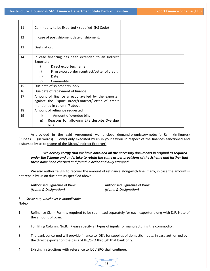| 11 | Commodity to be Exported / supplied (HS Code)                                                                                                                                              |
|----|--------------------------------------------------------------------------------------------------------------------------------------------------------------------------------------------|
| 12 | In case of post shipment date of shipment.                                                                                                                                                 |
| 13 | Destination.                                                                                                                                                                               |
| 14 | In case financing has been extended to an Indirect<br>Exporter:<br>i)<br>Direct exporters name<br>ii)<br>Firm export order / contract/Letter of credit<br>iii)<br>Date<br>Commodity<br>iv) |
| 15 | Due date of shipment/supply                                                                                                                                                                |
| 16 | Due date of repayment of finance                                                                                                                                                           |
| 17 | Amount of finance already availed by the exporter<br>against the Export order/Contract/Letter of credit<br>mentioned in column 7 above                                                     |
| 18 | Amount of refinance requested                                                                                                                                                              |
| 19 | Amount of overdue bills<br>i)<br>ii)<br>Reasons for allowing EFS despite Overdue<br><b>bills</b>                                                                                           |

As provided in the said Agreement we enclose demand promissory notes for Rs \_\_ (in figures) (Rupees (in words) only) duly executed by us in your favour in respect of the finances sanctioned and disbursed by us to (name of the Direct/ Indirect Exporter)

#### *We hereby certify that we have obtained all the necessary documents in original as required under the Scheme and undertake to retain the same as per provisions of the Scheme and further that these have been checked and found in order and duly stamped. .*

We also authorize SBP to recover the amount of refinance along-with fine, if any, in case the amount is not repaid by us on due date as specified above.

*(Name & Designation) (Name & Designation)*

Authorised Signature of Bank *Authorised Signature of Bank* 

\* *Strike out, whichever is inapplicable* Note:‐

- 1) Refinance Claim Form is required to be submitted separately for each exporter along-with D.P. Note of the amount of Loan.
- 2) For filling Column: No.8. Please specify all types of inputs for manufacturing the commodity.
- 3) The bank concerned will provide finance to IDE's for supplies of domestic inputs, in case authorized by the direct exporter on the basis of ILC/SPO through that bank only.
- 4) Existing instructions with reference to ILC / SPO shall continue.

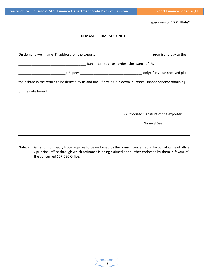## **Specimen of "D.P. Note"**

#### **DEMAND PROMISSORY NOTE**

| On demand we name & address of the exporter                                                                     | promise to pay to the                  |
|-----------------------------------------------------------------------------------------------------------------|----------------------------------------|
| Bank Limited or order the sum of Rs                                                                             |                                        |
| (Rupees only) for value received plus                                                                           |                                        |
| their share in the return to be derived by us and fine, if any, as laid down in Export Finance Scheme obtaining |                                        |
| on the date hereof.                                                                                             |                                        |
|                                                                                                                 |                                        |
|                                                                                                                 |                                        |
|                                                                                                                 | (Authorized signature of the exporter) |
|                                                                                                                 | (Name & Seal)                          |
|                                                                                                                 |                                        |
|                                                                                                                 |                                        |

Note: - Demand Promissory Note requires to be endorsed by the branch concerned in favour of its head office / principal office through which refinance is being claimed and further endorsed by them in favour of the concerned SBP BSC Office.

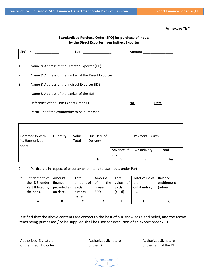$47 -$ 

Authorized Signature of the Bank of the DE

# Infrastructure Housing & SME Finance Department State Bank of Pakistan Export Finance Scheme (EFS)

# **Annexure "E "**

### **Standardized Purchase Order (SPO) for purchase of Inputs by the Direct Exporter from Indirect Exporter**

| M<br>. .<br>ັ<br>______________ | .<br>________________ | _______________ |
|---------------------------------|-----------------------|-----------------|
|                                 |                       |                 |

- 1. Name & Address of the Director Exporter (DE)
- 2. Name & Address of the Banker of the Direct Exporter
- 3. Name & Address of the Indirect Exporter (IDE)
- 4. Name & Address of the banker of the IDE
- 5. Reference of the Firm Export Order / L.C. **No. 1998 No. 2019 Date**
- 6. Particular of the commodity to be purchased:‐

| Commodity with<br>its Harmonized<br>Code | Quantity | Value<br>Total | Due Date of<br>Delivery | Payment Terms                       |    |     |
|------------------------------------------|----------|----------------|-------------------------|-------------------------------------|----|-----|
|                                          |          |                |                         | On delivery<br>Advance, if<br>Total |    |     |
|                                          |          |                |                         | any                                 |    |     |
|                                          |          | iii            | I٧                      |                                     | Vİ | Vii |

7. Particulars in respect of exporter who intend to use inputs under Part-II:-

| $\ast$ | Entitlement of   Amount |             | Total                  | Amount        | Total                  | Total value of   Balance |             |
|--------|-------------------------|-------------|------------------------|---------------|------------------------|--------------------------|-------------|
|        | the DE under   finance  |             | amount of $ $          | the I<br>of - | value of the           |                          | entitlement |
|        | Part II fixed by        | provided as | <b>SPO<sub>S</sub></b> | present       | <b>SPO<sub>s</sub></b> | outstanding              | $(a-b-e-f)$ |
|        | the bank.               | on date.    | already                | SPO.          | $(c + d)$              | ILC                      |             |
|        |                         |             | issued                 |               |                        |                          |             |
|        | A                       | В           |                        |               |                        |                          | u           |

Certified that the above contents are correct to the best of our knowledge and belief, and the above items being purchased / to be supplied shall be used for execution of an export order / L.C.

Authorized Signature of the Direct Exporter

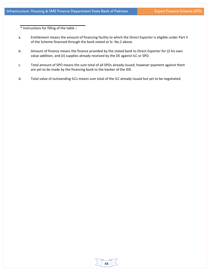\* Instructions for filling of the table :‐

- a. Entitlement means the amount of financing facility to which the Direct Exporter is eligible under Part II of the Scheme financed through the bank stated at Sr. No.2 above.
- b. Amount of finance means the finance provided by the stated bank to Direct Exporter for (i) his own value addition, and (ii) supplies already received by the DE against ILC or SPO.
- c. Total amount of SPO means the sum total of all SPOs already issued, however payment against them are yet to be made by the financing bank to the banker of the IDE.
- d. Total value of outstanding ILCs means sum total of the ILC already issued but yet to be negotiated.

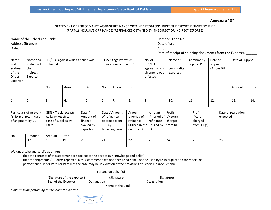#### **Annexure "D"**

#### STATEMENT OF PERFORMANCE AGAINST REFINANCE OBTAINED FROM SBP UNDER THE EXPORT FINANCE SCHEME (PART‐1) INCLUSIVE OF FINANCES/REFINANCES OBTAINED BY THE DIRECT OR INDIRECT EXPORTES

Name of the Scheduled Bank: \_\_\_\_\_\_\_\_\_\_\_\_\_\_\_ Address (Branch)

Date. \_\_\_\_\_\_\_\_\_\_\_\_\_

Date of grant.

Amount. \_\_\_\_\_\_\_\_\_\_\_\_\_\_\_\_

Date of receipt of shipping documents from the Exporter. \_\_\_\_\_\_

| Name<br>and<br>address<br>of the<br>Direct<br>Exporter | Name and<br>address of<br>the<br>Indirect<br>Exporter | ELC/FEO against which finance was<br>obtained |        | ILC/SPO against which<br>finance was obtained * |    | No. of<br>Name of<br>ELC/FEO<br>the<br>against which<br>commodity<br>shipment was<br>exported<br>effected | Commodity<br>supplied* | Date of<br>shipment<br>(As per B/L) | Date of Supply* |     |     |        |      |
|--------------------------------------------------------|-------------------------------------------------------|-----------------------------------------------|--------|-------------------------------------------------|----|-----------------------------------------------------------------------------------------------------------|------------------------|-------------------------------------|-----------------|-----|-----|--------|------|
|                                                        |                                                       | No                                            | Amount | Date                                            | No | Amount                                                                                                    | Date                   |                                     |                 |     |     | Amount | Date |
|                                                        | 2.                                                    | 3.                                            | 4.     | э.                                              | 6. |                                                                                                           | 8.                     | 9.                                  | 10.             | 11. | 12. | 13.    | 14.  |
|                                                        |                                                       |                                               |        |                                                 |    |                                                                                                           |                        |                                     |                 |     |     |        |      |

| Particulars of relevant<br>'E' forms Nos. in case<br>of shipment by DE |        | GRN / Truck receipts<br>Railway Receipts in<br>case of supplies by<br>$IDE *$ |      | Date /<br>Amount of<br>finance<br>availed by<br>exporter | Date / Amount<br>of refinance<br>obtained from<br>SBP by<br>financing Bank | Amount<br>/ Period of<br>refinance<br>utilized in the utilized by<br>name of DE | Amount<br>Period of<br>refinance<br><b>IDE</b> | Profit<br>/Return<br>charged<br>from DE | Profit<br>/Return<br>charged<br>from IDE(s) | Date of realization<br>expected |
|------------------------------------------------------------------------|--------|-------------------------------------------------------------------------------|------|----------------------------------------------------------|----------------------------------------------------------------------------|---------------------------------------------------------------------------------|------------------------------------------------|-----------------------------------------|---------------------------------------------|---------------------------------|
| No                                                                     | Amount | Amount                                                                        | Date |                                                          |                                                                            |                                                                                 |                                                |                                         |                                             |                                 |
| 15.                                                                    | 17     | 18                                                                            | 19   | 20                                                       | 21                                                                         | 22                                                                              | 23                                             | 24                                      | 25                                          | 26                              |
|                                                                        |        |                                                                               |      |                                                          |                                                                            |                                                                                 |                                                |                                         |                                             |                                 |

We undertake and certify as under:‐

i) that the contents of this statement are correct to the best of our knowledge and belief. that the shipments / E Forms reported in this statement have not been used / shall not be used by us in duplication for reporting performance under Part‐I or Part‐II as the case may be in violation of the provisions of Export Finance Scheme.

For and on behalf of

| (Signature of the exporter) | (Signature)      | (Signature) |
|-----------------------------|------------------|-------------|
| Seal of the Exporter        | Designation      | Designation |
| .                           | Name of the Bank |             |

*\* Information pertaining to the indirect exporter*

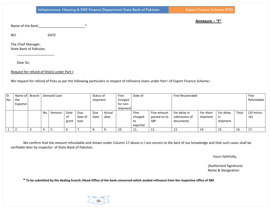Infrastructure Housing & SME Finance Department State Bank of Pakistan Export Finance Scheme (EFS)

**Annexure – "F"**

Name of the Bank\_\_\_\_\_\_\_\_\_\_\_\_\_\_\_\_\_\_\_\_\_\_\_\_\_\*

DATE

NO.

The Chief Manager, State Bank of Pakistan,

Dear Sir,

Request for refund of fine(s) under Part‐I

We request for refund of fines as per the following particulars in respect of refinance loans under Part I of Export Finance Scheme:‐

| Sr. | Name of   | <b>Branch</b> |     | Demand Loan |       |         |          | Status of | Fine<br>Date of |          |              | Fine Recoverable | Fine      |            |       |                      |
|-----|-----------|---------------|-----|-------------|-------|---------|----------|-----------|-----------------|----------|--------------|------------------|-----------|------------|-------|----------------------|
| No. | the       |               |     |             |       |         | shipment |           | charged         |          |              |                  |           | Refundable |       |                      |
|     | Exporter  |               |     |             |       |         |          |           | for non-        |          |              |                  |           |            |       |                      |
|     |           |               |     |             |       |         |          |           | shipment        |          |              |                  |           |            |       |                      |
|     |           |               | No. | Amount      | Date  | Due     | Due      | Actual    |                 | Fine     | Fine amount  | For delay in     | For short | For delay  | Total | $(10 \text{ minus})$ |
|     |           |               |     |             | οf    | date of | Date     | date      |                 | charged  | passed on to | submission of    | shipment  | in         |       | 16)                  |
|     |           |               |     |             | grant | loan    |          |           |                 | to       | <b>SBP</b>   | documents        |           | shipment   |       |                      |
|     |           |               |     |             |       |         |          |           |                 | exporter |              |                  |           |            |       |                      |
|     | <u>L.</u> | J.            | 4.  | J.          | ь.    | , ,     | 8.       | 9.        | 10.             | 11.      | 12.          | 13.              | 14.       | 15.        | 16.   | 17.                  |

We confirm that the amount refundable and shown under Column 17 above is / are correct to the best of our knowledge and that such cases shall be verifiable later by inspector of State Bank of Pakistan.

Yours faithfully,

(Authorized Signature) Name & Designation

\* To be submitted by the dealing branch /Head Office of the bank concerned which availed refinance from the respective office of SBP.

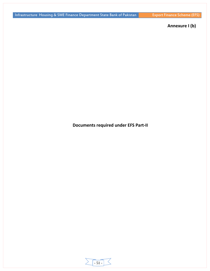# **Annexure I (b)**

**Documents required under EFS Part‐II**

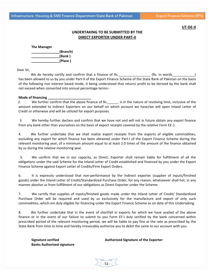**\_\_\_\_\_\_\_\_\_\_\_\_\_\_\_(Place )**

#### **UT‐DE‐II**

# **UNDERTAKING TO BE SUBMITTED BY THE DIRECT EXPORTER UNDER PART‐II**

| <b>The Manager</b> |          |
|--------------------|----------|
|                    | (Branch) |
|                    | (Bank)   |

Dear Sir,

We do hereby certify and confirm that a finance of Rs. 1913 1914 (Rs. in words has been allowed to us by you under Part-II of the Export Finance Scheme of the State Bank of Pakistan on the basis of the following non interest based mode, it being understood that return/ profit to be derived by the bank shall not exceed when converted into annual percentage terms:‐

#### **Mode of financing \_\_\_\_\_\_\_\_\_\_\_\_\_\_\_\_\_\_\_\_\_\_\_**

2. We further confirm that the above finance of Rs.  $\qquad$  is in the nature of revolving limit, inclusive of the amount extended to Indirect Exporters on our behalf on which account we have/we will open Inland Letter of Credit or otherwise and will be utilized for export purposes.

 3. We hereby further declare and confirm that we have not and will not in future obtain any export finance from any bank other than yourselves on the basis of export receipts covered by the relative Form EE‐1.

4. We further undertake that we shall realize export receipts from the exports of eligible commodities, excluding any export for which finance has been obtained under Part-I of the Export Finance Scheme during the relevant monitoring year, of a minimum amount equal to at least 2.0 times of the amount of the finance obtained by us during the relative monitoring year.

 5. We confirm that we in our capacity, as Direct, Exporter shall remain liable for fulfillment of all the obligations under the said Scheme for the Inland Letter of Credit established and financed by you under the Export Finance Scheme against Export Letter of Credits/Firm Export Orders.

6. It is expressly understood that non‐performance by the Indirect exporter (supplier of inputs/finished goods) under the Inland Letter of Credit/Standardized Purchase Order, for any reason, whatsoever shall hot, in any manner absolve us from fulfillment of our obligations as Direct Exporter under the Scheme.

7. We certify that supplies of inputs/finished goods made under the Inland Letter of Credit/ Standardized Purchase Order will be required and used by us exclusively for the manufacture and export of only such commodities, which are duly eligible for financing under the Export Finance Scheme as on date of this Undertaking.

8. We further undertake that in the event of shortfall in exports for which we have availed of the above finance or in the event of our failure to submit to you Form EF‐I duly verified by the bank concerned within prescribed period of the relevant monitoring period, we will be liable to pay fine at the rate as prescribed by the State Bank from time to time and hereby irrevocably authorize you to debit the same to our account with you.

‐ 52 ‐

**Banks Authorized signature**

**Signature verified Authorized Signature of the Exporter**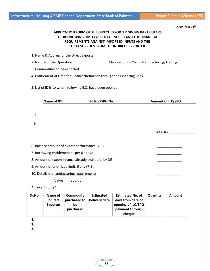| 1. Name & Address of the Direct Exporter<br>5. List of IDEs to whom following ILCs have been opened:-<br>ILC No./SPO No. | Manufacturing/Semi Manufacturing/Trading<br>4. Entitlement of Limit for Finance/Refinance through the Financing Bank. |          | <b>Amount of ILC/SPO</b> |
|--------------------------------------------------------------------------------------------------------------------------|-----------------------------------------------------------------------------------------------------------------------|----------|--------------------------|
|                                                                                                                          |                                                                                                                       |          |                          |
|                                                                                                                          |                                                                                                                       |          |                          |
|                                                                                                                          |                                                                                                                       |          |                          |
|                                                                                                                          |                                                                                                                       |          |                          |
|                                                                                                                          |                                                                                                                       |          |                          |
|                                                                                                                          |                                                                                                                       |          |                          |
|                                                                                                                          |                                                                                                                       |          |                          |
|                                                                                                                          |                                                                                                                       |          |                          |
|                                                                                                                          |                                                                                                                       |          |                          |
|                                                                                                                          |                                                                                                                       |          | Total Rs.                |
| 6. Balance amount of export performance (4-5)                                                                            |                                                                                                                       |          |                          |
| 7. Borrowing entitlement as per 6 above                                                                                  |                                                                                                                       |          |                          |
| 8. Amount of export finance already availed of by DE                                                                     |                                                                                                                       |          |                          |
| 9. Amount of unutilized limit, if any (7-8)                                                                              |                                                                                                                       |          |                          |
| 10. Details of manufacturing requirements                                                                                |                                                                                                                       |          |                          |
|                                                                                                                          |                                                                                                                       |          |                          |
|                                                                                                                          |                                                                                                                       |          |                          |
| <b>Estimated</b><br><b>Delivery date</b>                                                                                 | <b>Estimated No. of</b><br>days from date of<br>opening of ILC/SPO<br>payment through<br>cheque                       | Quantity | <b>Amount</b>            |
|                                                                                                                          |                                                                                                                       |          |                          |

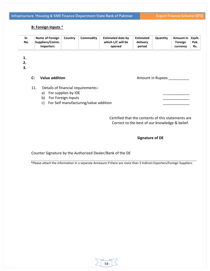# **B: Foreign Inputs** \*

| Sr.<br>No. | Name of Foreign<br> Suppliers/Comm. | Country | Commodity | <b>Estimated date by</b><br>which L/C will be | Estimated<br>delivery | Quantity | Amount in<br>Foreign | ll Eavit.<br>Pak. |
|------------|-------------------------------------|---------|-----------|-----------------------------------------------|-----------------------|----------|----------------------|-------------------|
|            | <b>Importers</b>                    |         |           | opened                                        | period                |          | currency             | Rs.               |

**1.**

**2.**

**3.**

**C:** Value addition **and a contained a contained a contained a contained a contained a contained a contact a contained a contact a contact a contact a contact a contact a contact a contact a contact a contact a contact a c** 

- 11. Details of financial requirements:
	- a) For supplies by IDE
	- b) For Foreign Inputs
	- c) For Self manufacturing/value addition

Certified that the contents of this statements are Correct to the best of our knowledge & belief.

## **Signature of DE**

Counter Signature by the Authorized Dealer/Bank of the DE

\*Please attach the information in a separate Annexure if there are more than 3 Indirect Exporters/Foreign Suppliers.

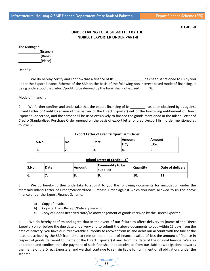#### **UT‐IDE‐II**

# **UNDER TAKING TO BE SUBMITTED BY THE INDIRECT EXPORTER UNDER PART‐II**

The Manager,

\_\_\_\_\_\_\_\_\_\_ (Branch) \_\_\_\_\_\_\_\_\_\_\_ (Bank) \_\_\_\_\_\_\_\_\_\_\_ (Place)

Dear Sir,

We do hereby certify and confirm that a finance of Rs. \_\_\_\_\_\_\_\_\_\_\_\_\_\_\_\_\_\_\_ has been sanctioned to us by you under the Export Finance Scheme of the SBP on the basis of the following non interest based mode of financing, it being understood that return/profit to be derived by the bank shall not exceed \_\_\_\_\_ %.

Mode of financing \_\_\_\_\_\_\_\_\_\_\_\_\_\_\_\_

2. We further confirm and undertake that the export financing of Rs. \_\_\_\_\_\_\_\_ has been obtained by us against Inland Letter of Credit by (name of the banker of the Direct Exporter) out of the borrowing entitlement of Direct Exporter Concerned, and the same shall be used exclusively to finance the goods mentioned in the Inland Letter of Credit/ Standardized Purchase Order opened on the basis of export letter of credit/export firm order mentioned as follows:‐

| <b>Export Letter of Credit/Export Firm Order</b> |     |      |                        |                        |  |  |  |  |  |  |  |
|--------------------------------------------------|-----|------|------------------------|------------------------|--|--|--|--|--|--|--|
| S.No.                                            | No. | Date | <b>Amount</b><br>F.Cv. | <b>Amount</b><br>L.Cv. |  |  |  |  |  |  |  |
|                                                  | ـ.  |      | −.                     | D.                     |  |  |  |  |  |  |  |

|       | <b>Inland Letter of Credit (ILC)</b> |        |                             |                 |                  |  |  |  |  |  |  |  |
|-------|--------------------------------------|--------|-----------------------------|-----------------|------------------|--|--|--|--|--|--|--|
| S.No. | Date                                 | Amount | Commodity to be<br>supplied | <b>Quantity</b> | Date of delivery |  |  |  |  |  |  |  |
| 6.    |                                      | o.     | . .                         | 10.             | 11.              |  |  |  |  |  |  |  |

## 3. We do hereby further undertake to submit to you the following documents for negotiation under the aforesaid Inland Letter of Credit/Standardized Purchase Order against which you have allowed to us the above finance under the Export Finance Scheme.

- a) Copy of Invoice
- b) Copy of Truck Receipt/Delivery Receipt
- c) Copy of Goods Received Note/Acknowledgement of goods received by the Direct Exporter

4. We do hereby confirm and agree that in the event of our failure to affect delivery to (name of the Direct Exporter) on or before the due date of delivery and to submit the above documents to you within 15 days from the date of delivery, you have our irrecoverable authority to recover from us and debit our account with the fine at the rates prescribed by the SBP from time to time on the amount of finance availed of less the amount of finance in respect of goods delivered to (name of the Direct Exporter) if any, from the date of the original finance. We also undertake and confirm that the payment of such fine shall not absolve us from our liabilities/obligations towards the (name of the Direct Exporters) and we shall continue to remain liable for fulfillment of all obligations under the scheme.

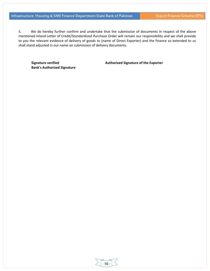5. We do hereby further confirm and undertake that the submission of documents in respect of the above mentioned Inland Letter of Credit/Standardized Purchase Order will remain our responsibility and we shall provide to you the relevant evidence of delivery of goods to (name of Direct Exporter) and the finance so extended to us shall stand adjusted in our name on submission of delivery documents.

‐ 56 ‐

**Bank's Authorized Signature**

**Signature verified Authorized Signature of the Exporter**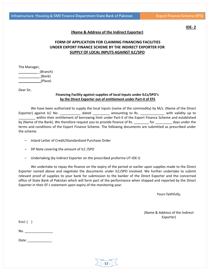**IDE‐ 2**

## **(Name & Address of the Indirect Exporter)**

# **FORM OF APPLICATION FOR CLAIMING FINANCING FACILITIES UNDER EXPORT FINANCE SCHEME BY THE INDIRECT EXPORTER FOR SUPPLY OF LOCAL INPUTS AGAINST ILC/SPO**

The Manager,

\_\_\_\_\_\_\_\_\_\_ (Branch) \_\_\_\_\_\_\_\_\_\_\_ (Bank) \_\_\_\_\_\_\_\_\_\_\_ (Place)

Dear Sir,

#### **Financing Facility against supplies of local inputs under ILCs/SPO's by the Direct Exporter out of entitlement under Part‐II of EFS**

We have been authorized to supply the local inputs (name of the commodity) by M/s. (Name of the Direct Exporter) against ILC No. \_\_\_\_\_\_\_\_\_\_\_\_\_ dated \_\_\_\_\_\_\_\_\_\_ amounting to Rs. \_\_\_\_\_\_\_\_\_\_\_\_\_\_ with validity up to \_\_\_\_\_\_\_\_\_ within their entitlement of borrowing limit under Part‐II of the Export Finance Scheme and established by (Name of the Bank). We therefore request you to provide finance of Rs. \_\_\_\_\_\_\_\_ for \_\_\_\_\_\_\_\_\_ days under the terms and conditions of the Export Finance Scheme. The following documents are submitted as prescribed under the scheme.

- Inland Letter of Credit/Standardized Purchase Order
- DP Note covering the amount of ILC /SPO
- Undertaking (by Indirect Exporter on the prescribed proforma UT‐IDE‐I)

We undertake to repay the finance on the expiry of the period or earlier upon supplies made to the Direct Exporter named above and negotiate the documents under ILC/SPO involved. We further undertake to submit relevant proof of supplies to your bank for submission to the banker of the Direct Exporter and the concerned office of State Bank of Pakistan which will form part of the performance when shipped and reported by the Direct Exporter in their EF‐I statement upon expiry of the monitoring year.

Yours faithfully,

(Name & Address of the Indirect Exporter)

Encl:  $( )$ 

No. \_\_\_\_\_\_\_\_\_\_\_\_\_\_\_

Date: \_\_\_\_\_\_\_\_\_\_\_\_\_

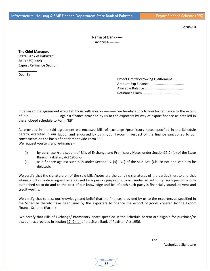**Form‐EB**

| Name of Bank ----- |
|--------------------|
| Address---------   |

**The Chief Manager, State Bank of Pakistan SBP (BSC) Bank Export Refinance Section,**

Dear Sir,

**\_\_\_\_\_\_\_\_\_\_**

Export Limit/Borrowing Entitlement .......... Amount Exp Finance..................................... Available Balance ........................................ Refinance Claim.......................................

In terms of the agreement executed by us with you on ----------- we hereby apply to you for refinance to the extent of PRs.------------------------- against finance provided by us to the exporters by way of export finance as detailed in the enclosed schedule to Form "EB"

As provided in the said agreement we enclosed bills of exchange /promissory notes specified in the Schedule hereto, executed in our favour and endorsed by us in your favour in respect of the finance sanctioned to our constituents on the basis of entitlement vide Form EE‐I.

We request you to grant re-finance:-

- (i) by purchase /re‐discount of Bills of Exchange and Promissory Notes under Section17(2) (a) of the State Bank of Pakistan, Act 1956 or
- (ii) as a finance against such bills under Section 17 (4) ( C ) of the said Act. (Clause not applicable to be deleted).

We certify that the signature on of the said bills /notes are the genuine signatures of the parties thereto and that where a bill or note is signed or endorsed by a person purporting to act under an authority, such person is duly authorized so to do and to the best of our knowledge and belief each such party is financially sound, solvent and credit worthy.

We certify that to best our knowledge and belief that the finances provided by us to the exporters as specified in the Schedule thereto have been used by the exporters to finance the export of goods covered by the Export Finance Scheme (Part‐II)

We certify that Bills of Exchange/ Promissory Notes specified in the Schedule hereto are eligible for purchase/re discount as provided in section 17 (2) (a) of the State Bank of Pakistan Act 1956.

‐ 58 ‐

For ‐‐‐‐‐‐‐‐‐‐‐‐‐‐‐‐‐‐‐‐‐‐‐‐‐‐‐‐‐‐‐‐‐

Authorized Signature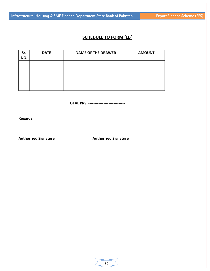# **SCHEDULE TO FORM 'EB'**

| Sr.<br>NO. | <b>DATE</b> | <b>NAME OF THE DRAWER</b> | <b>AMOUNT</b> |
|------------|-------------|---------------------------|---------------|
|            |             |                           |               |
|            |             |                           |               |
|            |             |                           |               |

**TOTAL PRS. ‐‐‐‐‐‐‐‐‐‐‐‐‐‐‐‐‐‐‐‐‐‐‐‐‐‐‐‐‐** 

**Regards**

**Authorized Signature Authorized Signature**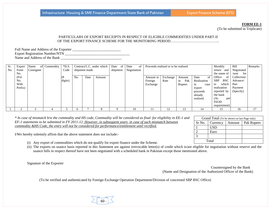#### **FORM EE-1**

(To be submitted in Triplicate)

Grand Total (To be shown on last Page only) Sr No. Currency | Amount | Pak Rupees

#### PARTICULARS OF EXPORT RECEIPTS IN RESPECT OF ELIGIBLE COMMODITIES UNDER PART-II OF THE EXPORT FINANCE SCHEME FOR THE MONITORING PERIOD…………………………………..

| Full Name and Address of the Exporter |  |
|---------------------------------------|--|
| <b>Export Registration Number/NTN</b> |  |
| Name and Address of the Bank          |  |

| Sr. | Export  | Name      | of Commodity | $*$ H.S. |     |               | Contract/L.C. under which | Date<br>of | Date<br>0t  | Proceeds realized or to be realized |          |            |             | Monthly                  | Bill         | Remarks |
|-----|---------|-----------|--------------|----------|-----|---------------|---------------------------|------------|-------------|-------------------------------------|----------|------------|-------------|--------------------------|--------------|---------|
| No. | Form    | Consignee |              | Code     |     | shipment made |                           | shipment   | Negotiation |                                     |          |            |             | return<br>and            | Negotiated   |         |
|     | No.     |           |              |          |     |               |                           |            |             |                                     |          |            |             | the name of              | for<br>/sent |         |
|     | (Ful    |           |              | (8)      | No. | Date          | Amount                    |            |             | Amount in                           | Exchange | Amount     | Date<br>of  | Office<br>of             | Collection/  |         |
|     | No.     |           |              | digits)  |     |               |                           |            |             | Foreign                             | Rate     | in<br>Pak. | Realization | <b>SBP</b><br><b>BSC</b> | Advance/     |         |
|     | With    |           |              |          |     |               |                           |            |             | Exchange                            |          | Rupees     | case<br>1n  | which<br>to              | Part         |         |
|     | Prefix) |           |              |          |     |               |                           |            |             |                                     |          |            | export      | realization              | Payment      |         |
|     |         |           |              |          |     |               |                           |            |             |                                     |          |            | proceeds    | reported by              | (Specify)    |         |
|     |         |           |              |          |     |               |                           |            |             |                                     |          |            | already     | the bank                 |              |         |
|     |         |           |              |          |     |               |                           |            |             |                                     |          |            | realized.   | (As<br>per               |              |         |
|     |         |           |              |          |     |               |                           |            |             |                                     |          |            |             | <b>FEOD</b>              |              |         |
|     |         |           |              |          |     |               |                           |            |             |                                     |          |            |             | requirement)             |              |         |
|     |         |           |              |          |     |               |                           |            | 10          |                                     |          |            |             |                          | 16           |         |

*\* In case of mismatch b/w the commodity and HS code, Commodity will be considered as final for eligibility in EE-1 and EF-1 statements to be submitted in FY 2011-12. However, in subsequent years in case of such mismatch between commodity &HS Code, the entry will not be considered for performance/entitlement until rectified.*

I/We hereby solemnly affirm that the above statement does not include:-

- (i) Any export of commodities which do not qualify for export finance under the Scheme.
- (ii) The exports on usance basis reported in this Statement are against irrevocable letter(s) of credit which is/are eligible for negotiation without reserve and the usance bills in respect thereof have not been negotiated with a scheduled bank in Pakistan except those mentioned above.

Signature of the Exporter

Countersigned by the Bank (Name and Designation of the Authorized Officer of the Bank)

USD

2 Euro

Total

3

(To be verified and authenticated by Foreign Exchange Operation Department/Division of concerned SBP BSC Office)

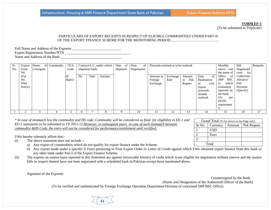#### **FORM EF-1**

(To be submitted in Triplicate)

#### PARTICULARS OF EXPORT RECEIPTS IN RESPECT OF ELIGIBLE COMMODITIES UNDER PART-II OF THE EXPORT FINANCE SCHEME FOR THE MONITORING PERIOD…………………………………..

Full Name and Address of the Exporter \_\_\_\_\_\_\_\_\_\_\_\_\_\_\_\_\_\_\_\_\_\_\_\_\_\_\_ Export Registration Number/NTN Name and Address of the Bank \_\_\_\_\_\_\_\_\_\_\_\_\_\_\_\_\_\_\_\_\_\_\_\_\_\_\_\_\_\_\_\_\_\_

| Sr.<br>No. | Export<br>Form<br>No.          | Name<br>Consignee | of Commodity | $*H.S.$<br>Code | Contract/L.C. under which<br>Proceeds realized or to be realized<br>Date<br>Date<br>οf<br>of<br>shipment<br>Negotiation<br>shipment made |      |        |  | Monthly<br>return<br>and<br>the name of | Bill<br>Negotiated<br>for<br>/sent | Remarks          |                                       |                                                                                       |                                                                                                                                              |                                                         |    |
|------------|--------------------------------|-------------------|--------------|-----------------|------------------------------------------------------------------------------------------------------------------------------------------|------|--------|--|-----------------------------------------|------------------------------------|------------------|---------------------------------------|---------------------------------------------------------------------------------------|----------------------------------------------------------------------------------------------------------------------------------------------|---------------------------------------------------------|----|
|            | (Ful<br>No.<br>With<br>Prefix) |                   |              | (8)<br>digits)  | No.                                                                                                                                      | Date | Amount |  |                                         | Amount in<br>Foreign<br>Exchange   | Exchange<br>Rate | Amount<br>Pak.<br>1n<br><b>Rupees</b> | Date<br>0t<br>Realization<br>case<br>1n<br>export<br>proceeds<br>already<br>realized. | Office<br>of<br><b>SBP</b><br><b>BSC</b><br>which<br>to<br>realization<br>reported by<br>the bank<br>(As<br>per<br><b>FEOD</b><br>requiremen | Collection/<br>Advance/<br>Part<br>Payment<br>(Specify) |    |
|            |                                |                   |              |                 |                                                                                                                                          |      |        |  | 10                                      |                                    | $\overline{1}$   | 13                                    | 14                                                                                    |                                                                                                                                              | 16                                                      | 17 |

*\* In case of mismatch b/w the commodity and HS code, Commodity will be considered as final for eligibility in EE-1 and EF-1 statements to be submitted in FY 2011-12.However, in subsequent years in case of such mismatch between commodity &HS Code, the entry will not be considered for performance/entitlement until rectified.*

I/We hereby solemnly affirm that:-

- (i) The above statement does not include :
	- a) Any export of commodities which do not qualify for export finance under the Scheme.
	- b) Any export made under a specific E Form pertaining to Firm Export Order or Letter of Credit against which I/We obtained export finance from this bank or any other bank under Part-I of the Export Finance Scheme.
- (ii) The exports on usance basis reported in this Statement are against irrevocable letter(s) of credit which is/are eligible for negotiation without reserve and the usance bills in respect thereof have not been negotiated with a scheduled bank in Pakistan except those mentioned above.

Signature of the Exporter

Countersigned by the Bank (Name and Designation of the Authorized Officer of the Bank)

(To be verified and authenticated by Foreign Exchange Operation Department/Division of concerned SBP BSC Office)

| -61 | - |  |
|-----|---|--|

| Grand Total (To be shown on last Page only) |                           |  |                     |  |  |  |
|---------------------------------------------|---------------------------|--|---------------------|--|--|--|
|                                             | $Sr$ No. $\vert$ Currency |  | Amount   Pak Rupees |  |  |  |
|                                             | USD                       |  |                     |  |  |  |
| $\overline{2}$                              | Euro                      |  |                     |  |  |  |
| 3                                           |                           |  |                     |  |  |  |
|                                             | Total                     |  |                     |  |  |  |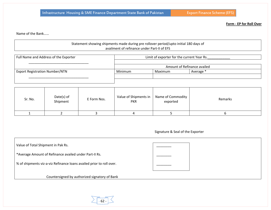**Form ‐ EP for Roll Over**

Name of the Bank……

## Statement showing shipments made during pre rollover period/upto initial 180 days of availment of refinance under Part‐II of EFS

| Full Name and Address of the Exporter | Limit of exporter for the current Year Rs. |                             |           |
|---------------------------------------|--------------------------------------------|-----------------------------|-----------|
|                                       |                                            |                             |           |
|                                       |                                            | Amount of Refinance availed |           |
| <b>Export Registration Number/NTN</b> | Minimum                                    | Maximum                     | Average * |
|                                       |                                            |                             |           |
|                                       |                                            |                             |           |

| Sr. No. | Date(s) of<br>Shipment | E Form Nos. | Value of Shipments in<br><b>PKR</b> | Name of Commodity<br>exported | Remarks |
|---------|------------------------|-------------|-------------------------------------|-------------------------------|---------|
|         |                        |             |                                     |                               |         |

| Signature & Seal of the Exporter |  |  |
|----------------------------------|--|--|
|                                  |  |  |

Value of Total Shipment in Pak Rs. \_\_\_\_\_\_\_\_ \*Average Amount of Refinance availed under Part‐II Rs. \_\_\_\_\_\_\_\_ % of shipments viz‐a‐viz Refinance loans availed prior to roll over. \_\_\_\_\_\_\_\_ Countersigned by authorized signatory of Bank

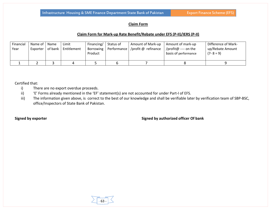#### **Claim Form**

#### **Claim Form for Mark‐up Rate Benefit/Rebate under EFS (P‐II)/IERS (P‐II)**

| Financial<br>Year | Name of 1<br>Exporter | Name<br>of bank | Limit<br>Entitlement | Financing/<br>Product | Status of | <b>Amount of Mark-up</b><br>Borrowing   Performance   /profit @ refinance | Amount of mark-up<br>/profit@ ---- on the<br>basis of performance | Difference of Mark-<br>up/Rebate Amount<br>$(7 - 8 = 9)$ |
|-------------------|-----------------------|-----------------|----------------------|-----------------------|-----------|---------------------------------------------------------------------------|-------------------------------------------------------------------|----------------------------------------------------------|
|                   |                       |                 |                      |                       |           |                                                                           |                                                                   |                                                          |

Certified that:

- i) There are no export overdue proceeds.
- ii) 'E' Forms already mentioned in the 'EF' statement(s) are not accounted for under Part-I of EFS.
- iii) The information given above, is correct to the best of our knowledge and shall be verifiable later by verification team of SBP-BSC, office/Inspectors of State Bank of Pakistan.

**Signed by exporter Signed by authorized officer Of bank**

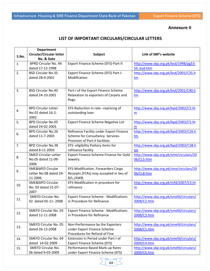# **Annexure II**

# **LIST OF IMPORTANT CIRCULARS/CIRCULAR LETTERS**

|       | <b>Department</b>            |                                                               |                                        |
|-------|------------------------------|---------------------------------------------------------------|----------------------------------------|
|       | Circular/Circular letter     | <b>Subject</b>                                                | Link of SBP's website                  |
| S.No. | No. & Date                   |                                                               |                                        |
| 1.    | <b>BPRD Circular No. 44</b>  | Export Finance Scheme (EFS)-Part-II                           | http://www.sbp.org.pk/bsd/1998/pg53-   |
|       | dated 17-12-1998             |                                                               | 54 bsd.htm                             |
| 2.    | <b>BSD Circular No.35</b>    | Export Finance Scheme (EFS) Part-I-                           | http://www.sbp.org.pk/bsd/2001/C35.h   |
|       | dated 28-9-2001              | Modification                                                  | tm                                     |
|       |                              |                                                               |                                        |
|       |                              |                                                               |                                        |
| 3.    | <b>BSD Circular No.40</b>    | Part-I of the Export Finance Scheme                           | http://www.sbp.org.pk/bsd/2001/C40.h   |
|       | dated 24-10-2001             | Relaxation to exporters of Carpets and                        | tm                                     |
|       |                              | Rugs.                                                         |                                        |
|       | <b>BPD Circular Letter</b>   | EFS-Reduction in rate -repricing of                           | http://www.sbp.org.pk/bpd/2002/C2.ht   |
| 4.    | No.02 dated 16-2-            | outstanding loan                                              | m                                      |
|       | 2002                         |                                                               |                                        |
| 5.    | <b>BPD Circular No.05</b>    | Export Finance Scheme-Negative List                           | http://www.sbp.org.pk/bpd/2003/C5.ht   |
|       | dated 24-02-2003             |                                                               | m                                      |
|       | <b>BPD Circular No.26</b>    | Refinance Facility under Export Finance                       | http://www.sbp.org.pk/bpd/2003/C26.h   |
| 6.    | dated 11-7-2003              | Scheme for Consultancy Services-                              | tm                                     |
|       |                              | Provision of Part-II facilities                               |                                        |
| 7.    | <b>BPD Circular No.38</b>    | EFS- eligibility Pottery items for                            | http://www.sbp.org.pk/bpd/2003/C38.h   |
|       | dated 8-11-2003              | refinance facility                                            | tm                                     |
|       | <b>SMED Circular Letter</b>  | Export Finance Scheme-Finance for Gold                        | http://www.sbp.org.pk/sme/circulars/20 |
| 8.    | No.05 dated 11-09-           | Jewelry.                                                      | 06/CL5.htm                             |
|       | 2006                         |                                                               |                                        |
| 9.    | <b>SME&amp;MFD Circular</b>  | EFS-Modification. Forwarders Cargo                            | http://www.sbp.org.pk/sme/circulars/20 |
|       | Letter No.08 dated 24-       | Receipts (FCRs) may accepted in lieu of                       | 06/CL8.htm                             |
|       | 11-2006                      | B/L./AWB.                                                     |                                        |
| 10.   | <b>SME&amp;MFD Circular</b>  | EFS-Modification in procedure for                             | http://www.sbp.org.pk/mfd/2007/C3.ht   |
|       | No. 03 dated 31-07-          | refinance                                                     | m                                      |
|       | 2007                         |                                                               |                                        |
| 11.   | SMEFD Circular No.           | <b>Export Finance Scheme - Modifications</b>                  | http://www.sbp.org.pk/smefd/circulars/ |
|       | 02 dated 05-11-2008          | in Procedure for Refinance                                    | 2008/C2.htm                            |
|       |                              |                                                               |                                        |
| 12.   | <b>SMEFD Circular No. 03</b> | <b>Export Finance Scheme - Modifications</b>                  | http://www.sbp.org.pk/smefd/circulars/ |
|       | dated 12-11-2008             | in Procedure for Refinance                                    | 2008/C3.htm                            |
|       |                              |                                                               |                                        |
| 13.   | <b>SMEFD Circular No. 05</b> | Non-Performance by the Exporters                              | http://www.sbp.org.pk/smefd/circulars/ |
|       | dated 26-12-2008             | under Export Finance Scheme-<br>Procedures for Refund of Fine | 2008/C5.htm                            |
|       | <b>SMEFD Circular No. 04</b> | Extension in Period under Part-I of                           | http://www.sbp.org.pk/smefd/circulars/ |
| 14.   | dated 14-02-2009             | <b>Export Finance Scheme (EFS)</b>                            | 2009/C4.htm                            |
|       | SMEFD Circular No.           | Performance Based Mark-up Rates                               | http://www.sbp.org.pk/smefd/circulars/ |
| 15.   | 06 dated 9-03-2009           | under Export Finance Scheme (EFS)                             | 2009/C6.htm                            |
|       |                              |                                                               |                                        |